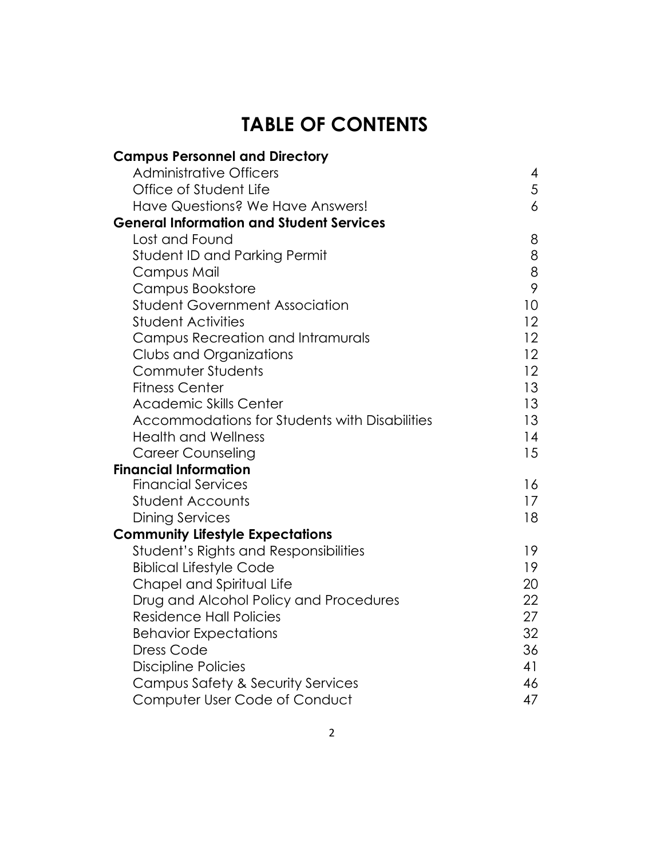# **TABLE OF CONTENTS**

| <b>Campus Personnel and Directory</b>           |                 |
|-------------------------------------------------|-----------------|
| <b>Administrative Officers</b>                  | 4               |
| Office of Student Life                          | 5               |
| Have Questions? We Have Answers!                | $\overline{6}$  |
| <b>General Information and Student Services</b> |                 |
| Lost and Found                                  | 8               |
| <b>Student ID and Parking Permit</b>            | 8               |
| Campus Mail                                     | 8               |
| Campus Bookstore                                | 9               |
| <b>Student Government Association</b>           | 10 <sup>°</sup> |
| <b>Student Activities</b>                       | 12 <sup>°</sup> |
| Campus Recreation and Intramurals               | 12 <sup>°</sup> |
| Clubs and Organizations                         | 12 <sup>2</sup> |
| Commuter Students                               | 12 <sup>2</sup> |
| <b>Fitness Center</b>                           | 13 <sup>°</sup> |
| <b>Academic Skills Center</b>                   | 13 <sup>°</sup> |
| Accommodations for Students with Disabilities   | 13              |
| <b>Health and Wellness</b>                      | 14              |
| <b>Career Counseling</b>                        | 15              |
| <b>Financial Information</b>                    |                 |
| <b>Financial Services</b>                       | 16              |
| <b>Student Accounts</b>                         | 17 <sup>2</sup> |
| <b>Dining Services</b>                          | 18              |
| <b>Community Lifestyle Expectations</b>         |                 |
| Student's Rights and Responsibilities           | 19              |
| <b>Biblical Lifestyle Code</b>                  | 19              |
| Chapel and Spiritual Life                       | 20              |
| Drug and Alcohol Policy and Procedures          | 22              |
| <b>Residence Hall Policies</b>                  | 27              |
| <b>Behavior Expectations</b>                    | 32              |
| <b>Dress Code</b>                               | 36              |
| <b>Discipline Policies</b>                      | 41              |
| Campus Safety & Security Services               | 46              |
| Computer User Code of Conduct                   | 47              |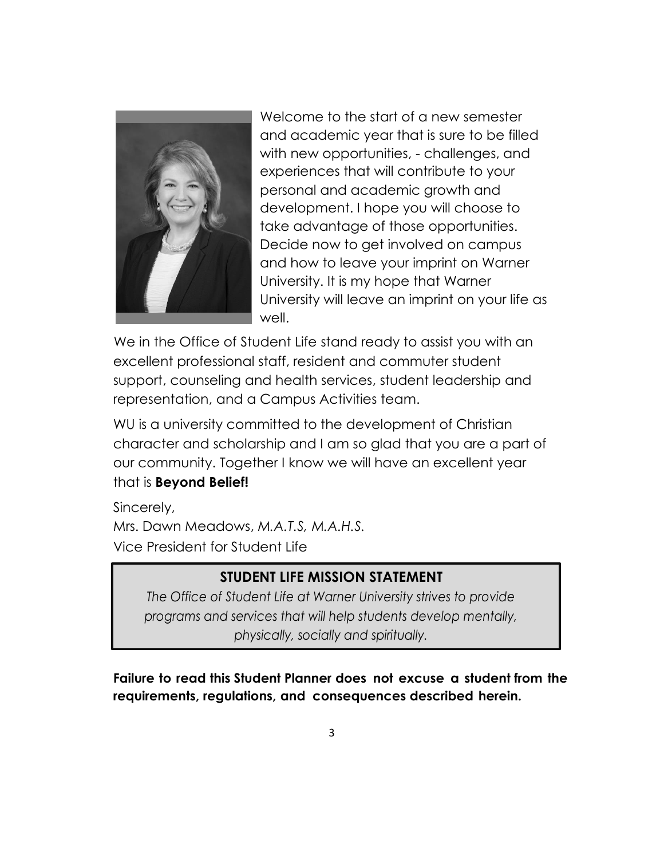

Welcome to the start of a new semester and academic year that is sure to be filled with new opportunities, - challenges, and experiences that will contribute to your personal and academic growth and development. I hope you will choose to take advantage of those opportunities. Decide now to get involved on campus and how to leave your imprint on Warner University. It is my hope that Warner University will leave an imprint on your life as well.

We in the Office of Student Life stand ready to assist you with an excellent professional staff, resident and commuter student support, counseling and health services, student leadership and representation, and a Campus Activities team.

WU is a university committed to the development of Christian character and scholarship and I am so glad that you are a part of our community. Together I know we will have an excellent year that is **Beyond Belief!**

Sincerely, Mrs. Dawn Meadows, *M.A.T.S, M.A.H.S.* Vice President for Student Life

 $\overline{\phantom{a}}$ 

# **STUDENT LIFE MISSION STATEMENT**

*The Office of Student Life at Warner University strives to provide programs and services that will help students develop mentally, physically, socially and spiritually.*

**Failure to read this Student Planner does not excuse a student from the requirements, regulations, and consequences described herein.**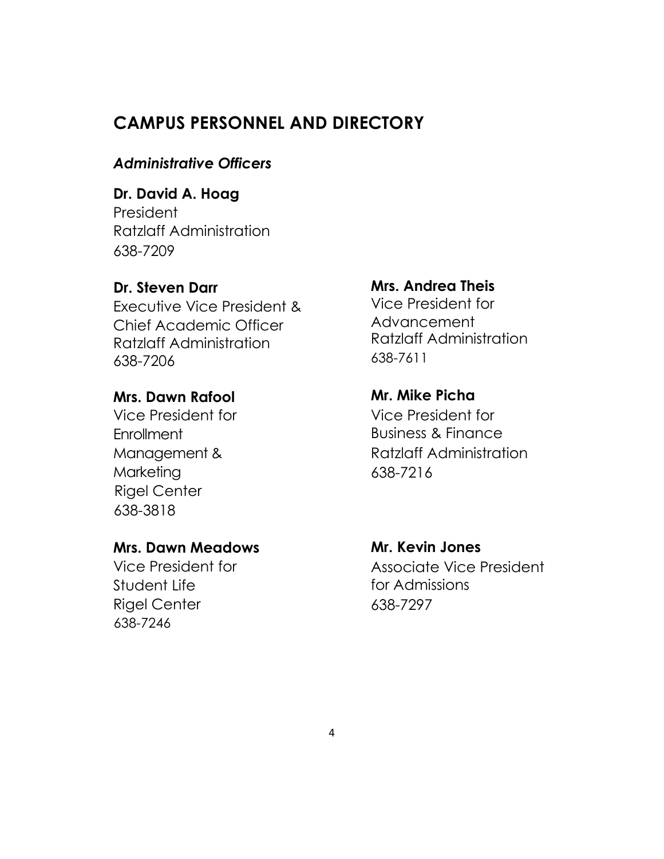# **CAMPUS PERSONNEL AND DIRECTORY**

## *Administrative Officers*

# **Dr. David A. Hoag**

President Ratzlaff Administration 638-7209

#### **Dr. Steven Darr**

Executive Vice President & Chief Academic Officer Ratzlaff Administration 638-7206

#### **Mrs. Dawn Rafool**

Vice President for **Enrollment** Management & **Marketing** Rigel Center 638-3818

#### **Mrs. Dawn Meadows**

Vice President for Student Life Rigel Center 638-7246

#### **Mrs. Andrea Theis**

Vice President for Advancement Ratzlaff Administration 638-7611

# **Mr. Mike Picha**

Vice President for Business & Finance Ratzlaff Administration 638-7216

#### **Mr. Kevin Jones**

Associate Vice President for Admissions 638-7297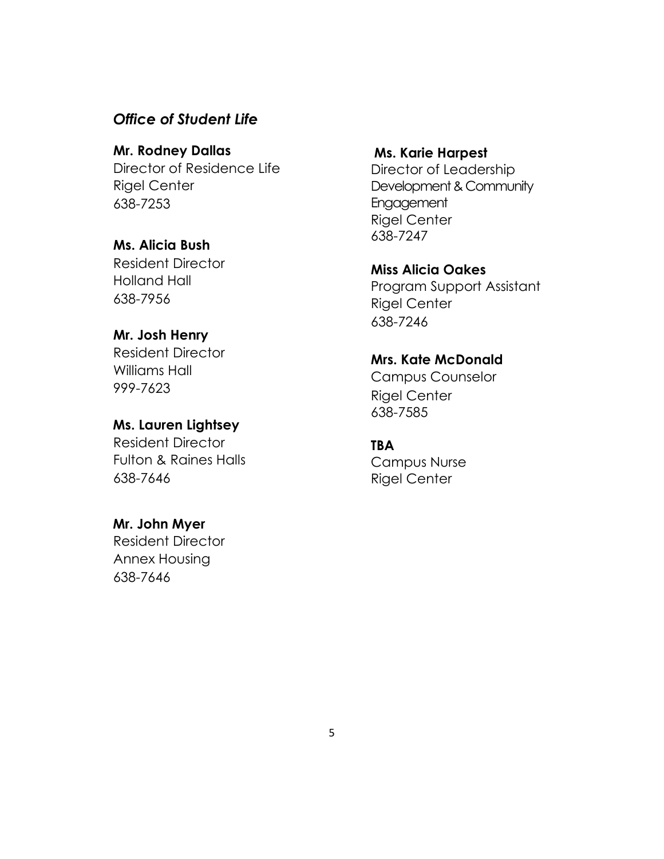#### *Office of Student Life*

**Mr. Rodney Dallas** Director of Residence Life Rigel Center 638-7253

**Ms. Alicia Bush**

Resident Director Holland Hall 638-7956

#### **Mr. Josh Henry**

Resident Director Williams Hall 999-7623

#### **Ms. Lauren Lightsey**

Resident Director Fulton & Raines Halls 638-7646

#### **Mr. John Myer**

Resident Director Annex Housing 638-7646

#### **Ms. Karie Harpest**

Director of Leadership Development & Community Engagement Rigel Center 638-7247

**Miss Alicia Oakes** Program Support Assistant Rigel Center 638-7246

**Mrs. Kate McDonald**

Campus Counselor Rigel Center 638-7585

#### **TBA**

Campus Nurse Rigel Center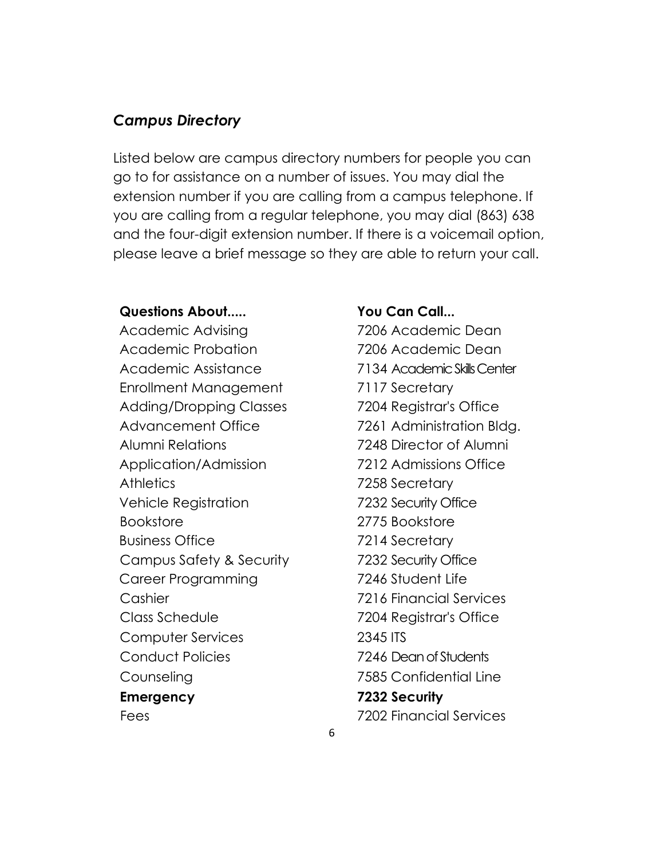## *Campus Directory*

Listed below are campus directory numbers for people you can go to for assistance on a number of issues. You may dial the extension number if you are calling from a campus telephone. If you are calling from a regular telephone, you may dial (863) 638 and the four-digit extension number. If there is a voicemail option, please leave a brief message so they are able to return your call.

#### **Questions About..... You Can Call...**

Academic Advising 7206 Academic Dean Academic Probation **7206 Academic Dean** Academic Assistance 7134 Academic Skills Center Enrollment Management 7117 Secretary Adding/Dropping Classes 7204 Registrar's Office Advancement Office 7261 Administration Bldg. Alumni Relations 7248 Director of Alumni Application/Admission 7212 Admissions Office Athletics 7258 Secretary Vehicle Registration 7232 Security Office Bookstore 2775 Bookstore Business Office 7214 Secretary Campus Safety & Security 7232 Security Office Career Programming 7246 Student Life Cashier 7216 Financial Services Class Schedule 7204 Registrar's Office Computer Services 2345 ITS Conduct Policies 7246 Dean of Students Counseling 7585 Confidential Line **Emergency 7232 Security**

Fees 7202 Financial Services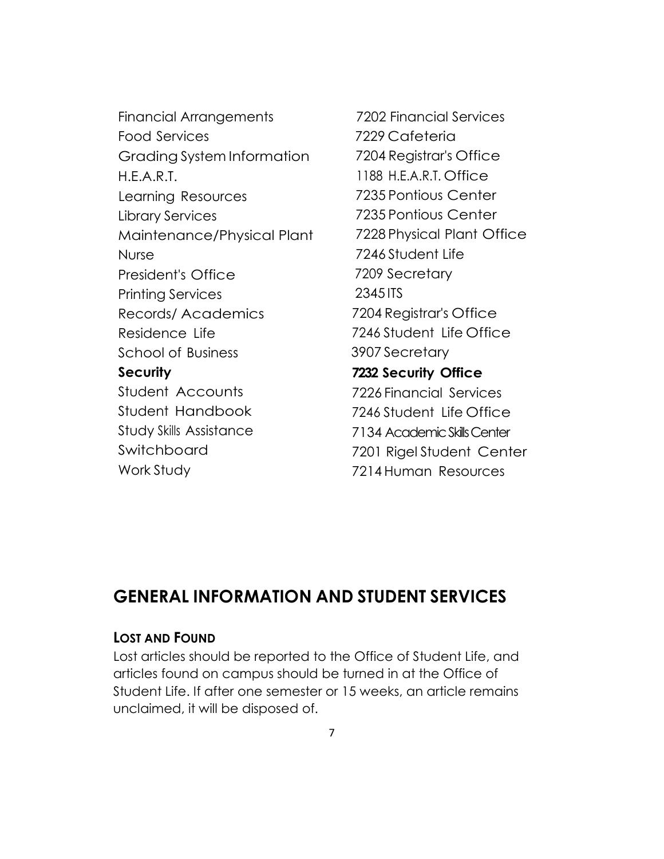Financial Arrangements 7202 Financial Services Food Services Grading System Information H.E.A.R.T. Learning Resources Library Services Maintenance/Physical Plant Nurse President's Office Printing Services Records/ Academics Residence Life School of Business **Security** Student Accounts Student Handbook Study Skills Assistance Switchboard Work Study

7229 Cafeteria 7204 Registrar's Office 1188 H.E.A.R.T. Office 7235 Pontious Center 7235 Pontious Center 7228 Physical Plant Office 7246 Student Life 7209 Secretary 2345 ITS 7204 Registrar's Office 7246 Student Life Office 3907 Secretary **7232 Security Office** 7226 Financial Services 7246 Student Life Office 7134 Academic Skills Center 7201 Rigel Student Center 7214 Human Resources

# **GENERAL INFORMATION AND STUDENT SERVICES**

#### **LOST AND FOUND**

Lost articles should be reported to the Office of Student Life, and articles found on campus should be turned in at the Office of Student Life. If after one semester or 15 weeks, an article remains unclaimed, it will be disposed of.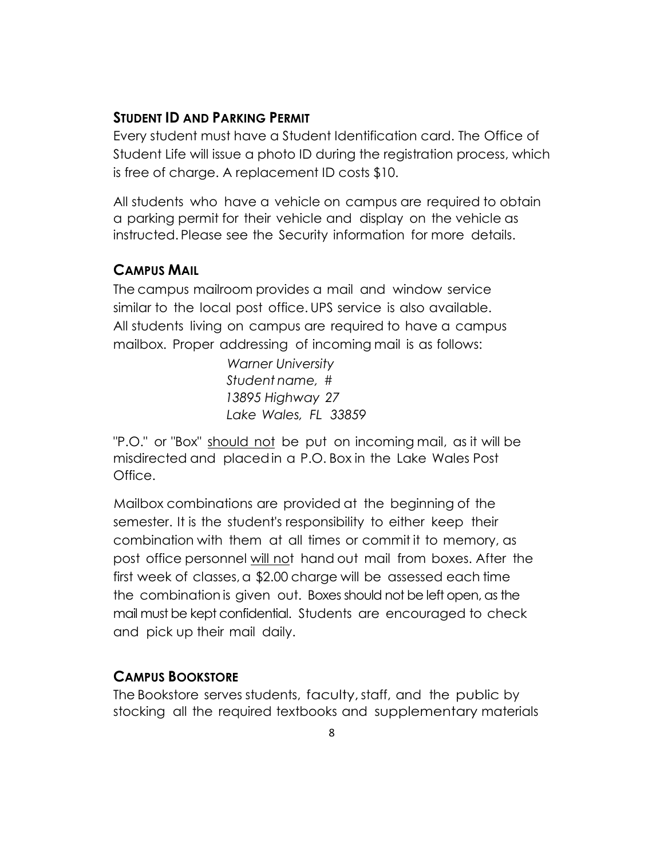# **STUDENT ID AND PARKING PERMIT**

Every student must have a Student Identification card. The Office of Student Life will issue a photo ID during the registration process, which is free of charge. A replacement ID costs \$10.

All students who have a vehicle on campus are required to obtain a parking permit for their vehicle and display on the vehicle as instructed. Please see the Security information for more details.

## **CAMPUS MAIL**

The campus mailroom provides a mail and window service similar to the local post office. UPS service is also available. All students living on campus are required to have a campus mailbox. Proper addressing of incoming mail is as follows:

> *Warner University Student name,* # *13895 Highway 27 Lake Wales, FL 33859*

"P.O." or "Box" should not be put on incoming mail, as it will be misdirected and placed in a P.O. Box in the Lake Wales Post Office.

Mailbox combinations are provided at the beginning of the semester. It is the student's responsibility to either keep their combination with them at all times or commit it to memory, as post office personnel will not hand out mail from boxes. After the first week of classes, a \$2.00 charge will be assessed each time the combination is given out. Boxes should not be left open, as the mail must be kept confidential. Students are encouraged to check and pick up their mail daily.

# **CAMPUS BOOKSTORE**

The Bookstore serves students, faculty, staff, and the public by stocking all the required textbooks and supplementary materials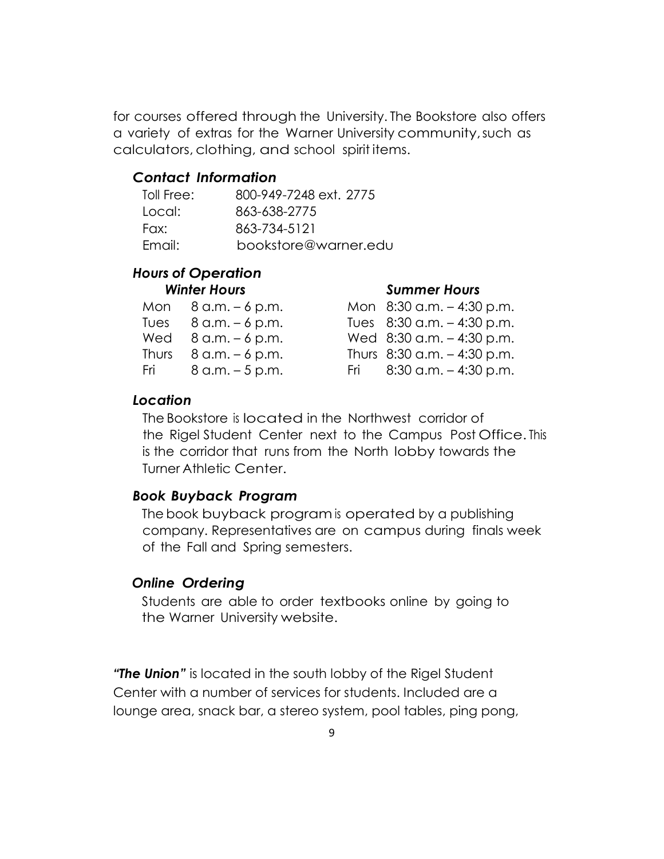for courses offered through the University. The Bookstore also offers a variety of extras for the Warner University community, such as calculators, clothing, and school spirit items.

#### *Contact Information*

| Toll Free: | 800-949-7248 ext. 2775 |
|------------|------------------------|
| Local:     | 863-638-2775           |
| Fax:       | 863-734-5121           |
| Email:     | bookstore@warner.edu   |

# *Hours of Operation*

#### *Winter Hours Summer Hours*

| Mon 8 a.m. – 6 p.m.                     | Mon $8:30$ a.m. $-4:30$ p.m.   |
|-----------------------------------------|--------------------------------|
| Tues $8$ a.m. $-6$ p.m.                 | Tues $8:30$ a.m. $-4:30$ p.m.  |
| Wed $8$ a.m. $-6$ p.m.                  | Wed $8:30$ a.m. $-4:30$ p.m.   |
| Thurs $8 \text{ a.m.} - 6 \text{ p.m.}$ | Thurs $8:30$ a.m. $-4:30$ p.m. |
| Fri $8 a.m. - 5 p.m.$                   | Fri $8:30$ a.m. $-4:30$ p.m.   |
|                                         |                                |

#### *Location*

The Bookstore is located in the Northwest corridor of the Rigel Student Center next to the Campus Post Office. This is the corridor that runs from the North lobby towards the Turner Athletic Center.

#### *Book Buyback Program*

The book buyback program is operated by a publishing company. Representatives are on campus during finals week of the Fall and Spring semesters.

#### *Online Ordering*

Students are able to order textbooks online by going to the Warner University website.

*"The Union"* is located in the south lobby of the Rigel Student Center with a number of services for students. Included are a lounge area, snack bar, a stereo system, pool tables, ping pong,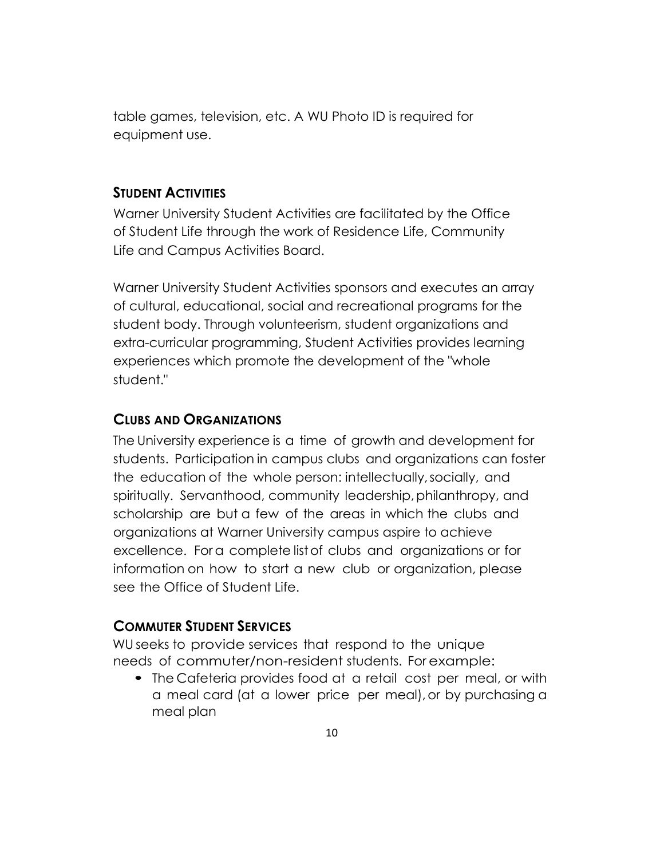table games, television, etc. A WU Photo ID is required for equipment use.

#### **STUDENT ACTIVITIES**

Warner University Student Activities are facilitated by the Office of Student Life through the work of Residence Life, Community Life and Campus Activities Board.

Warner University Student Activities sponsors and executes an array of cultural, educational, social and recreational programs for the student body. Through volunteerism, student organizations and extra-curricular programming, Student Activities provides learning experiences which promote the development of the "whole student."

## **CLUBS AND ORGANIZATIONS**

The University experience is a time of growth and development for students. Participation in campus clubs and organizations can foster the education of the whole person: intellectually, socially, and spiritually. Servanthood, community leadership, philanthropy, and scholarship are but a few of the areas in which the clubs and organizations at Warner University campus aspire to achieve excellence. For a complete list of clubs and organizations or for information on how to start a new club or organization, please see the Office of Student Life.

# **COMMUTER STUDENT SERVICES**

WU seeks to provide services that respond to the unique needs of commuter/non-resident students. For example:

• The Cafeteria provides food at a retail cost per meal, or with a meal card (at a lower price per meal), or by purchasing a meal plan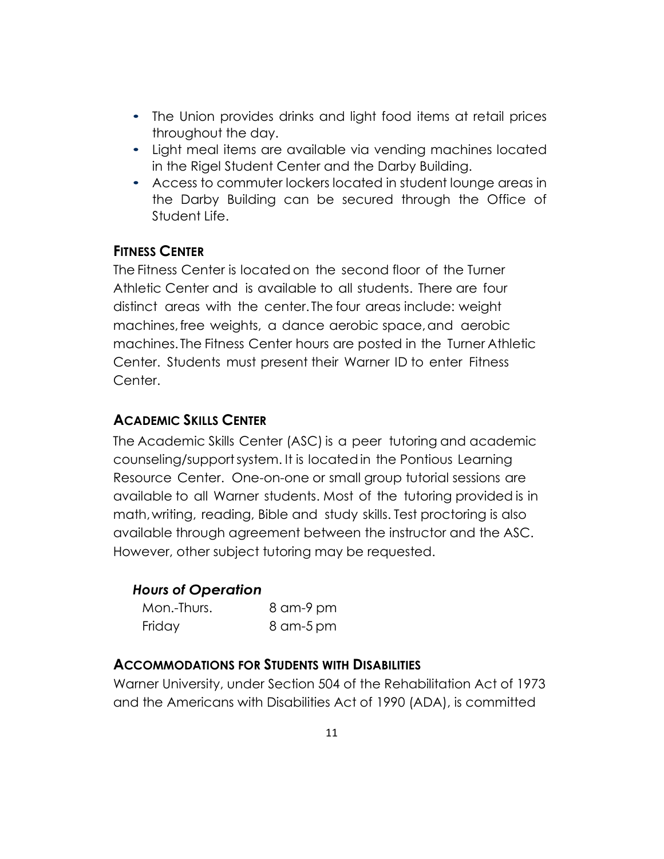- The Union provides drinks and light food items at retail prices throughout the day.
- Light meal items are available via vending machines located in the Rigel Student Center and the Darby Building.
- Access to commuter lockers located in student lounge areas in the Darby Building can be secured through the Office of Student Life.

# **FITNESS CENTER**

The Fitness Center is located on the second floor of the Turner Athletic Center and is available to all students. There are four distinct areas with the center. The four areas include: weight machines, free weights, a dance aerobic space, and aerobic machines. The Fitness Center hours are posted in the Turner Athletic Center. Students must present their Warner ID to enter Fitness Center.

# **ACADEMIC SKILLS CENTER**

The Academic Skills Center (ASC) is a peer tutoring and academic counseling/support system. It is located in the Pontious Learning Resource Center. One-on-one or small group tutorial sessions are available to all Warner students. Most of the tutoring provided is in math, writing, reading, Bible and study skills. Test proctoring is also available through agreement between the instructor and the ASC. However, other subject tutoring may be requested.

# *Hours of Operation*

| Mon.-Thurs. | 8 am-9 pm |
|-------------|-----------|
| Friday      | 8 am-5 pm |

# **ACCOMMODATIONS FOR STUDENTS WITH DISABILITIES**

Warner University, under Section 504 of the Rehabilitation Act of 1973 and the Americans with Disabilities Act of 1990 (ADA), is committed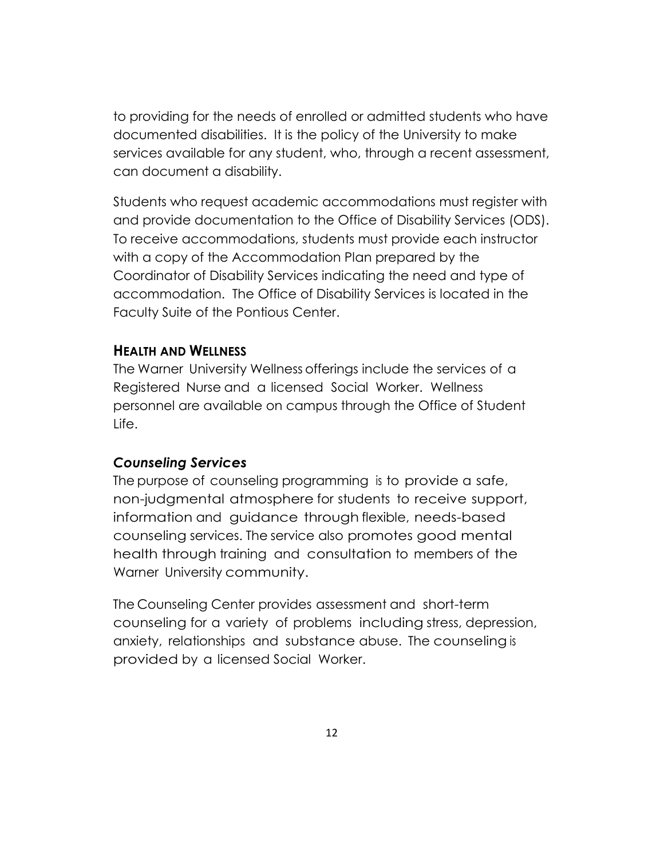to providing for the needs of enrolled or admitted students who have documented disabilities. It is the policy of the University to make services available for any student, who, through a recent assessment, can document a disability.

Students who request academic accommodations must register with and provide documentation to the Office of Disability Services (ODS). To receive accommodations, students must provide each instructor with a copy of the Accommodation Plan prepared by the Coordinator of Disability Services indicating the need and type of accommodation. The Office of Disability Services is located in the Faculty Suite of the Pontious Center.

#### **HEALTH AND WELLNESS**

The Warner University Wellness offerings include the services of a Registered Nurse and a licensed Social Worker. Wellness personnel are available on campus through the Office of Student Life.

#### *Counseling Services*

The purpose of counseling programming is to provide a safe, non-judgmental atmosphere for students to receive support, information and guidance through flexible, needs-based counseling services. The service also promotes good mental health through training and consultation to members of the Warner University community.

The Counseling Center provides assessment and short-term counseling for a variety of problems including stress, depression, anxiety, relationships and substance abuse. The counseling is provided by a licensed Social Worker.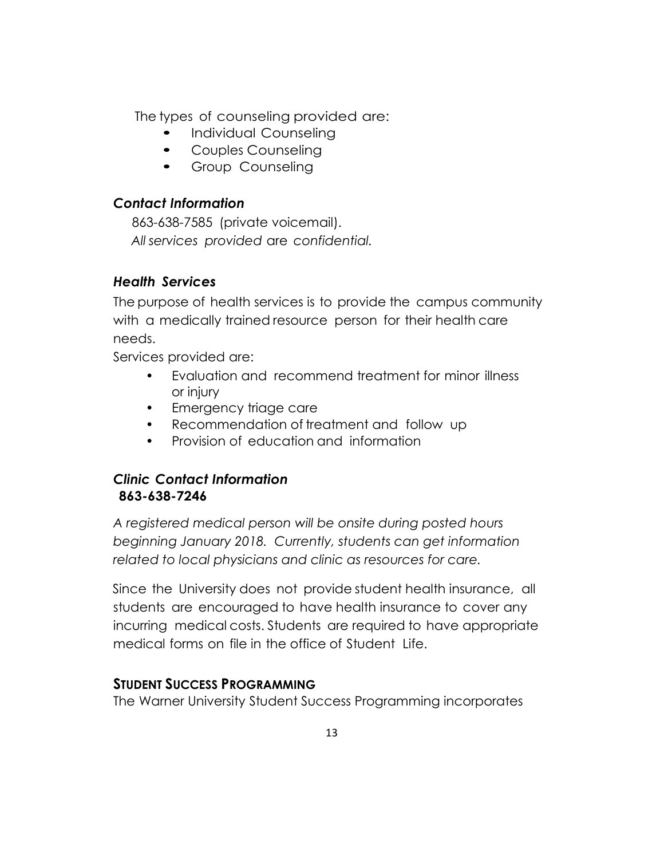The types of counseling provided are:

- Individual Counseling
- Couples Counseling
- Group Counseling

# *Contact Information*

 863-638-7585 (private voicemail).  *All services provided* are *confidential.*

# *Health Services*

The purpose of health services is to provide the campus community with a medically trained resource person for their health care needs.

Services provided are:

- Evaluation and recommend treatment for minor illness or injury
- Emergency triage care
- Recommendation of treatment and follow up
- Provision of education and information

# *Clinic Contact Information* **863-638-7246**

*A registered medical person will be onsite during posted hours beginning January 2018. Currently, students can get information related to local physicians and clinic as resources for care.*

Since the University does not provide student health insurance, all students are encouraged to have health insurance to cover any incurring medical costs. Students are required to have appropriate medical forms on file in the office of Student Life.

# **STUDENT SUCCESS PROGRAMMING**

The Warner University Student Success Programming incorporates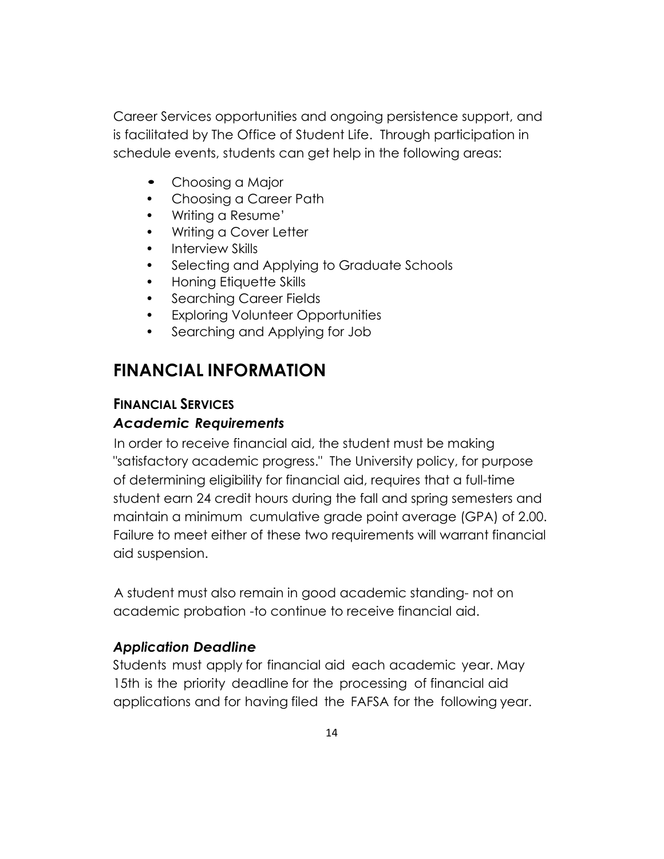Career Services opportunities and ongoing persistence support, and is facilitated by The Office of Student Life. Through participation in schedule events, students can get help in the following areas:

- Choosing a Major
- Choosing a Career Path
- Writing a Resume'
- Writing a Cover Letter
- Interview Skills
- Selecting and Applying to Graduate Schools
- Honing Etiquette Skills
- Searching Career Fields
- Exploring Volunteer Opportunities
- Searching and Applying for Job

# **FINANCIAL INFORMATION**

#### **FINANCIAL SERVICES**

#### *Academic Requirements*

In order to receive financial aid, the student must be making "satisfactory academic progress." The University policy, for purpose of determining eligibility for financial aid, requires that a full-time student earn 24 credit hours during the fall and spring semesters and maintain a minimum cumulative grade point average (GPA) of 2.00. Failure to meet either of these two requirements will warrant financial aid suspension.

A student must also remain in good academic standing- not on academic probation -to continue to receive financial aid.

#### *Application Deadline*

Students must apply for financial aid each academic year. May 15th is the priority deadline for the processing of financial aid applications and for having filed the FAFSA for the following year.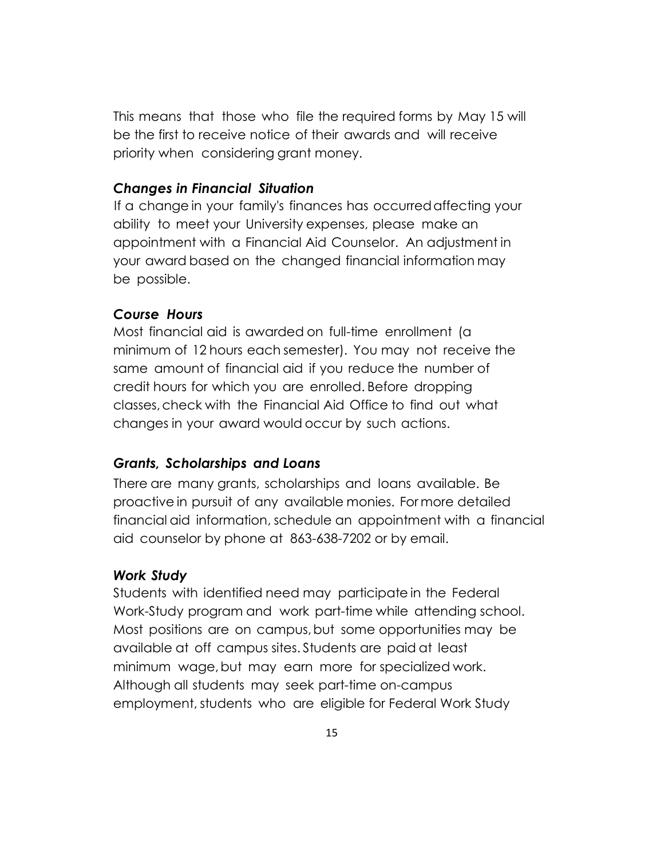This means that those who file the required forms by May 15 will be the first to receive notice of their awards and will receive priority when considering grant money.

#### *Changes in Financial Situation*

If a change in your family's finances has occurred affecting your ability to meet your University expenses, please make an appointment with a Financial Aid Counselor. An adjustment in your award based on the changed financial information may be possible.

#### *Course Hours*

Most financial aid is awarded on full-time enrollment (a minimum of 12 hours each semester). You may not receive the same amount of financial aid if you reduce the number of credit hours for which you are enrolled. Before dropping classes, check with the Financial Aid Office to find out what changes in your award would occur by such actions.

#### *Grants, Scholarships and Loans*

There are many grants, scholarships and loans available. Be proactive in pursuit of any available monies. For more detailed financial aid information, schedule an appointment with a financial aid counselor by phone at 863-638-7202 or by email.

#### *Work Study*

Students with identified need may participate in the Federal Work-Study program and work part-time while attending school. Most positions are on campus, but some opportunities may be available at off campus sites. Students are paid at least minimum wage, but may earn more for specialized work. Although all students may seek part-time on-campus employment, students who are eligible for Federal Work Study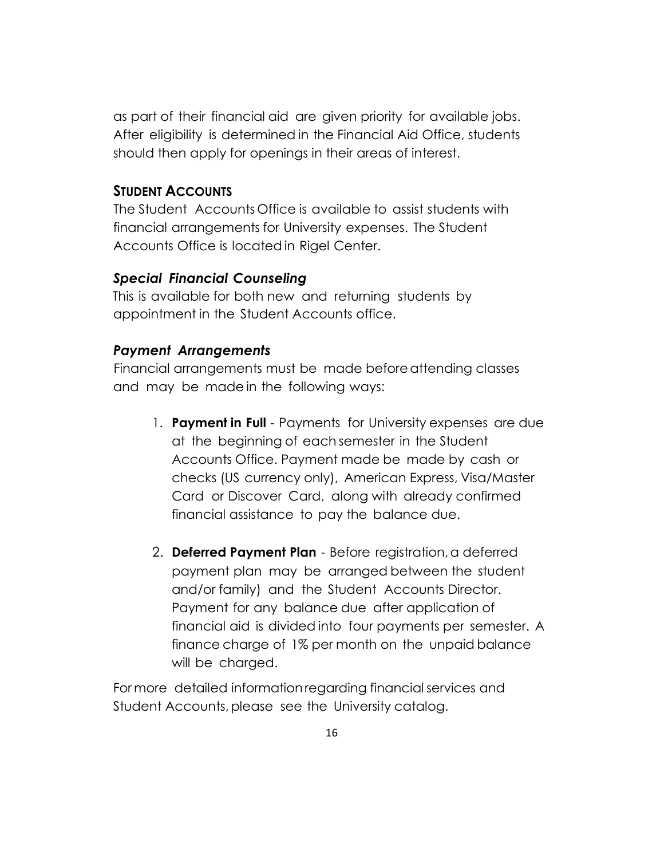as part of their financial aid are given priority for available jobs. After eligibility is determined in the Financial Aid Office, students should then apply for openings in their areas of interest.

#### **STUDENT ACCOUNTS**

The Student Accounts Office is available to assist students with financial arrangements for University expenses. The Student Accounts Office is located in Rigel Center.

#### *Special Financial Counseling*

This is available for both new and returning students by appointment in the Student Accounts office.

#### *Payment Arrangements*

Financial arrangements must be made before attending classes and may be made in the following ways:

- 1. **Payment in Full** Payments for University expenses are due at the beginning of each semester in the Student Accounts Office. Payment made be made by cash or checks (US currency only), American Express, Visa/Master Card or Discover Card, along with already confirmed financial assistance to pay the balance due.
- 2. **Deferred Payment Plan** Before registration, a deferred payment plan may be arranged between the student and/or family) and the Student Accounts Director. Payment for any balance due after application of financial aid is divided into four payments per semester. A finance charge of 1% per month on the unpaid balance will be charged.

For more detailed information regarding financial services and Student Accounts, please see the University catalog.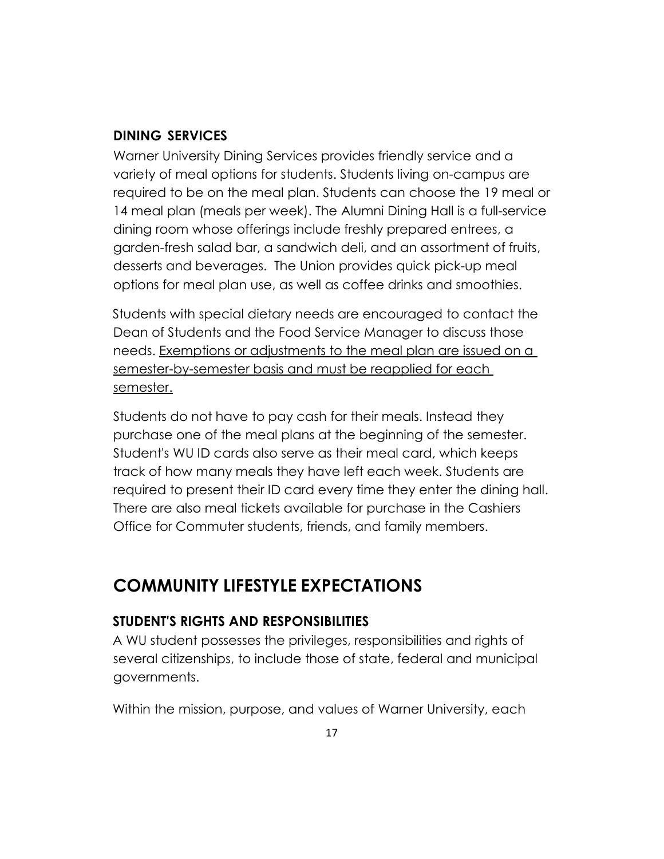#### **DINING SERVICES**

Warner University Dining Services provides friendly service and a variety of meal options for students. Students living on-campus are required to be on the meal plan. Students can choose the 19 meal or 14 meal plan (meals per week). The Alumni Dining Hall is a full-service dining room whose offerings include freshly prepared entrees, a garden-fresh salad bar, a sandwich deli, and an assortment of fruits, desserts and beverages. The Union provides quick pick-up meal options for meal plan use, as well as coffee drinks and smoothies.

Students with special dietary needs are encouraged to contact the Dean of Students and the Food Service Manager to discuss those needs. Exemptions or adjustments to the meal plan are issued on a semester-by-semester basis and must be reapplied for each semester.

Students do not have to pay cash for their meals. Instead they purchase one of the meal plans at the beginning of the semester. Student's WU ID cards also serve as their meal card, which keeps track of how many meals they have left each week. Students are required to present their ID card every time they enter the dining hall. There are also meal tickets available for purchase in the Cashiers Office for Commuter students, friends, and family members.

# **COMMUNITY LIFESTYLE EXPECTATIONS**

# **STUDENT'S RIGHTS AND RESPONSIBILITIES**

A WU student possesses the privileges, responsibilities and rights of several citizenships, to include those of state, federal and municipal governments.

Within the mission, purpose, and values of Warner University, each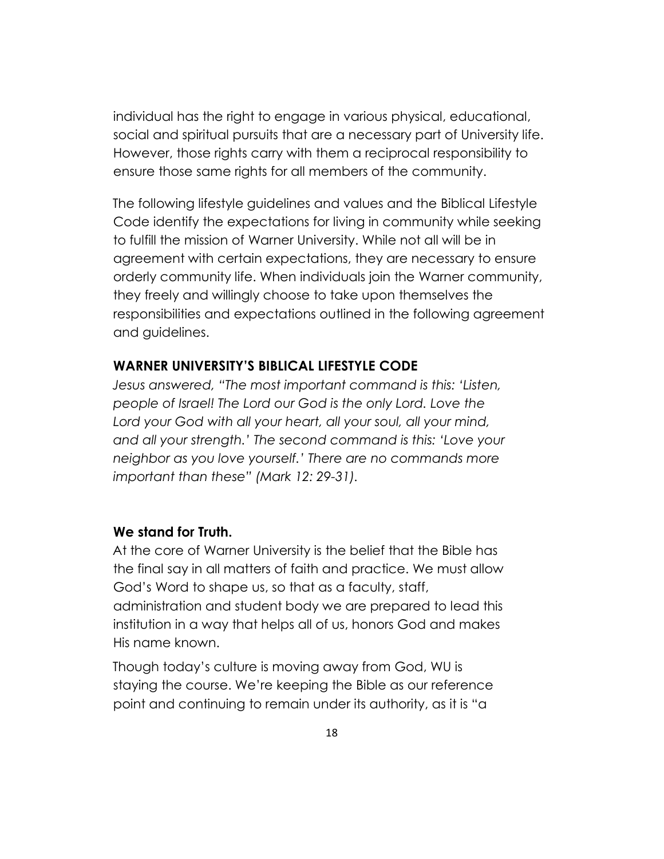individual has the right to engage in various physical, educational, social and spiritual pursuits that are a necessary part of University life. However, those rights carry with them a reciprocal responsibility to ensure those same rights for all members of the community.

The following lifestyle guidelines and values and the Biblical Lifestyle Code identify the expectations for living in community while seeking to fulfill the mission of Warner University. While not all will be in agreement with certain expectations, they are necessary to ensure orderly community life. When individuals join the Warner community, they freely and willingly choose to take upon themselves the responsibilities and expectations outlined in the following agreement and guidelines.

#### **WARNER UNIVERSITY'S BIBLICAL LIFESTYLE CODE**

*Jesus answered, "The most important command is this: 'Listen, people of Israel! The Lord our God is the only Lord. Love the Lord your God with all your heart, all your soul, all your mind, and all your strength.' The second command is this: 'Love your neighbor as you love yourself.' There are no commands more important than these" (Mark 12: 29-31).* 

#### **We stand for Truth.**

At the core of Warner University is the belief that the Bible has the final say in all matters of faith and practice. We must allow God's Word to shape us, so that as a faculty, staff, administration and student body we are prepared to lead this institution in a way that helps all of us, honors God and makes His name known.

Though today's culture is moving away from God, WU is staying the course. We're keeping the Bible as our reference point and continuing to remain under its authority, as it is "a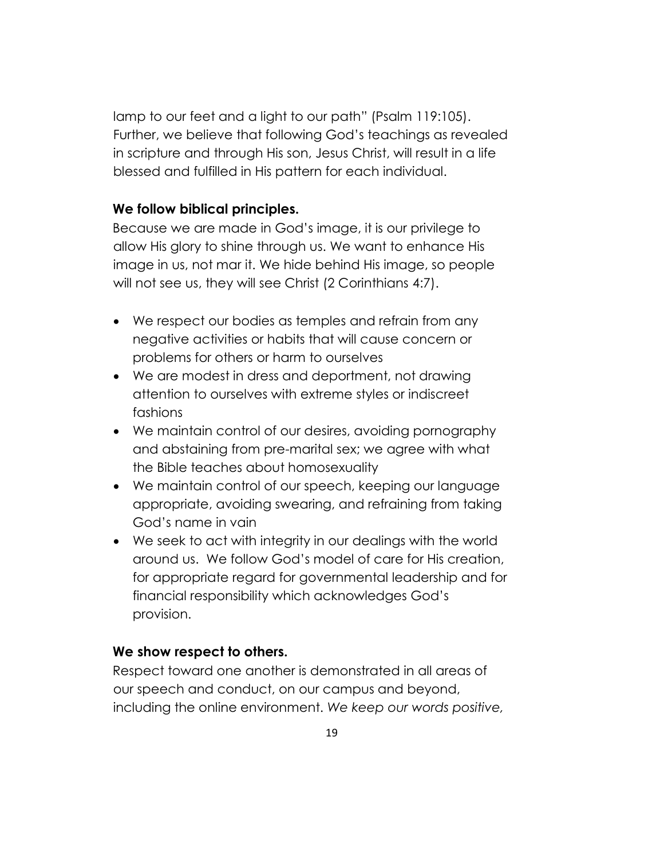lamp to our feet and a light to our path" (Psalm 119:105). Further, we believe that following God's teachings as revealed in scripture and through His son, Jesus Christ, will result in a life blessed and fulfilled in His pattern for each individual.

#### **We follow biblical principles.**

Because we are made in God's image, it is our privilege to allow His glory to shine through us. We want to enhance His image in us, not mar it. We hide behind His image, so people will not see us, they will see Christ (2 Corinthians 4:7).

- We respect our bodies as temples and refrain from any negative activities or habits that will cause concern or problems for others or harm to ourselves
- We are modest in dress and deportment, not drawing attention to ourselves with extreme styles or indiscreet fashions
- We maintain control of our desires, avoiding pornography and abstaining from pre-marital sex; we agree with what the Bible teaches about homosexuality
- We maintain control of our speech, keeping our language appropriate, avoiding swearing, and refraining from taking God's name in vain
- We seek to act with integrity in our dealings with the world around us. We follow God's model of care for His creation, for appropriate regard for governmental leadership and for financial responsibility which acknowledges God's provision.

#### **We show respect to others.**

Respect toward one another is demonstrated in all areas of our speech and conduct, on our campus and beyond, including the online environment. *We keep our words positive,*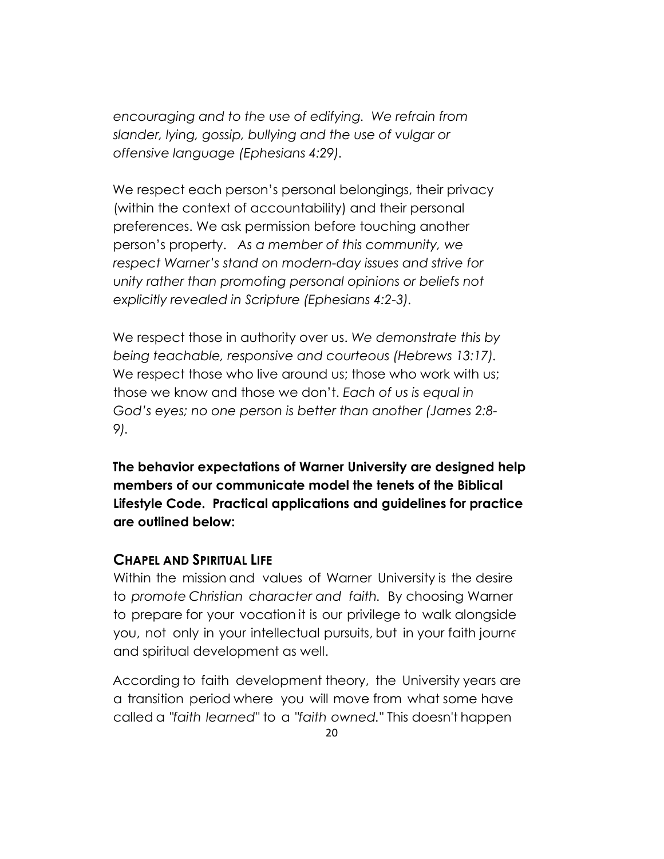*encouraging and to the use of edifying. We refrain from slander, lying, gossip, bullying and the use of vulgar or offensive language (Ephesians 4:29).* 

We respect each person's personal belongings, their privacy (within the context of accountability) and their personal preferences. We ask permission before touching another person's property. *As a member of this community, we respect Warner's stand on modern-day issues and strive for unity rather than promoting personal opinions or beliefs not explicitly revealed in Scripture (Ephesians 4:2-3).* 

We respect those in authority over us. *We demonstrate this by being teachable, responsive and courteous (Hebrews 13:17).*  We respect those who live around us; those who work with us; those we know and those we don't. *Each of us is equal in God's eyes; no one person is better than another (James 2:8- 9).* 

**The behavior expectations of Warner University are designed help members of our communicate model the tenets of the Biblical Lifestyle Code. Practical applications and guidelines for practice are outlined below:** 

#### **CHAPEL AND SPIRITUAL LIFE**

Within the mission and values of Warner University is the desire to *promote Christian character and faith.* By choosing Warner to prepare for your vocation it is our privilege to walk alongside you, not only in your intellectual pursuits, but in your faith journe and spiritual development as well.

According to faith development theory, the University years are a transition period where you will move from what some have called a *"faith learned"* to a *"faith owned."* This doesn't happen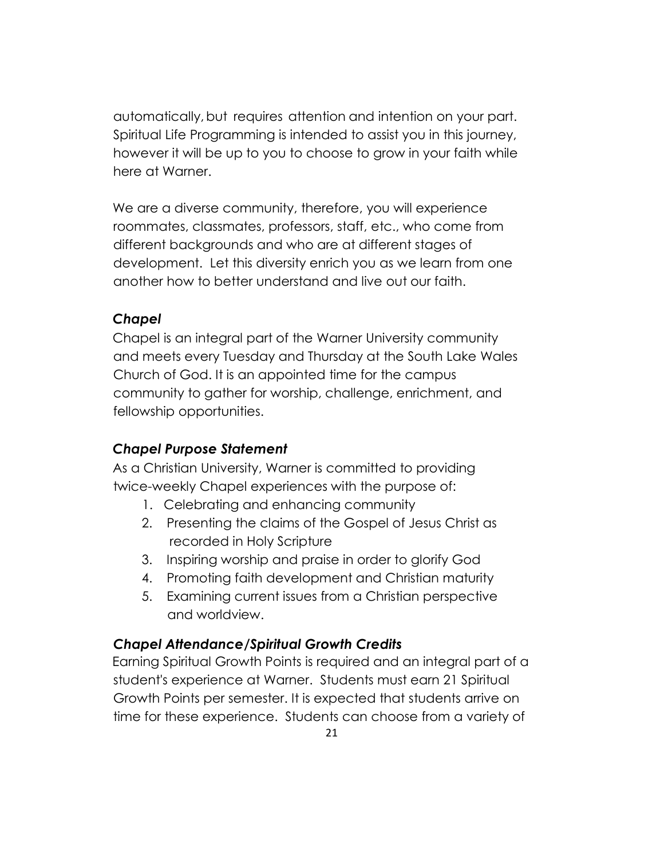automatically, but requires attention and intention on your part. Spiritual Life Programming is intended to assist you in this journey, however it will be up to you to choose to grow in your faith while here at Warner.

We are a diverse community, therefore, you will experience roommates, classmates, professors, staff, etc., who come from different backgrounds and who are at different stages of development. Let this diversity enrich you as we learn from one another how to better understand and live out our faith.

# *Chapel*

Chapel is an integral part of the Warner University community and meets every Tuesday and Thursday at the South Lake Wales Church of God. It is an appointed time for the campus community to gather for worship, challenge, enrichment, and fellowship opportunities.

# *Chapel Purpose Statement*

As a Christian University, Warner is committed to providing twice-weekly Chapel experiences with the purpose of:

- 1. Celebrating and enhancing community
- 2. Presenting the claims of the Gospel of Jesus Christ as recorded in Holy Scripture
- 3. Inspiring worship and praise in order to glorify God
- 4. Promoting faith development and Christian maturity
- 5. Examining current issues from a Christian perspective and worldview.

# *Chapel Attendance/Spiritual Growth Credits*

Earning Spiritual Growth Points is required and an integral part of a student's experience at Warner. Students must earn 21 Spiritual Growth Points per semester. It is expected that students arrive on time for these experience. Students can choose from a variety of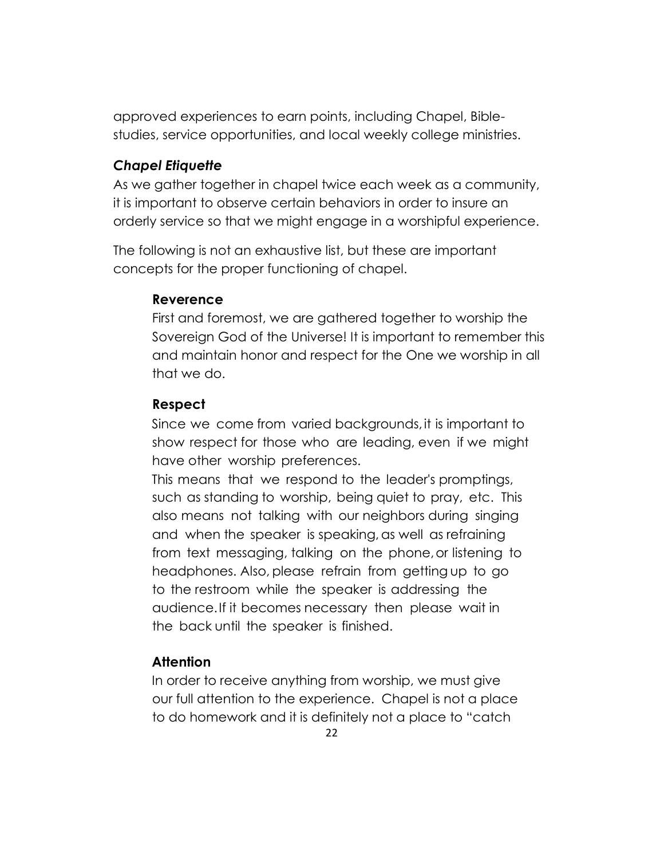approved experiences to earn points, including Chapel, Biblestudies, service opportunities, and local weekly college ministries.

#### *Chapel Etiquette*

As we gather together in chapel twice each week as a community, it is important to observe certain behaviors in order to insure an orderly service so that we might engage in a worshipful experience.

The following is not an exhaustive list, but these are important concepts for the proper functioning of chapel.

#### **Reverence**

First and foremost, we are gathered together to worship the Sovereign God of the Universe! It is important to remember this and maintain honor and respect for the One we worship in all that we do.

# **Respect**

Since we come from varied backgrounds, it is important to show respect for those who are leading, even if we might have other worship preferences.

This means that we respond to the leader's promptings, such as standing to worship, being quiet to pray, etc. This also means not talking with our neighbors during singing and when the speaker is speaking, as well as refraining from text messaging, talking on the phone, or listening to headphones. Also, please refrain from getting up to go to the restroom while the speaker is addressing the audience. If it becomes necessary then please wait in the back until the speaker is finished.

# **Attention**

In order to receive anything from worship, we must give our full attention to the experience. Chapel is not a place to do homework and it is definitely not a place to "catch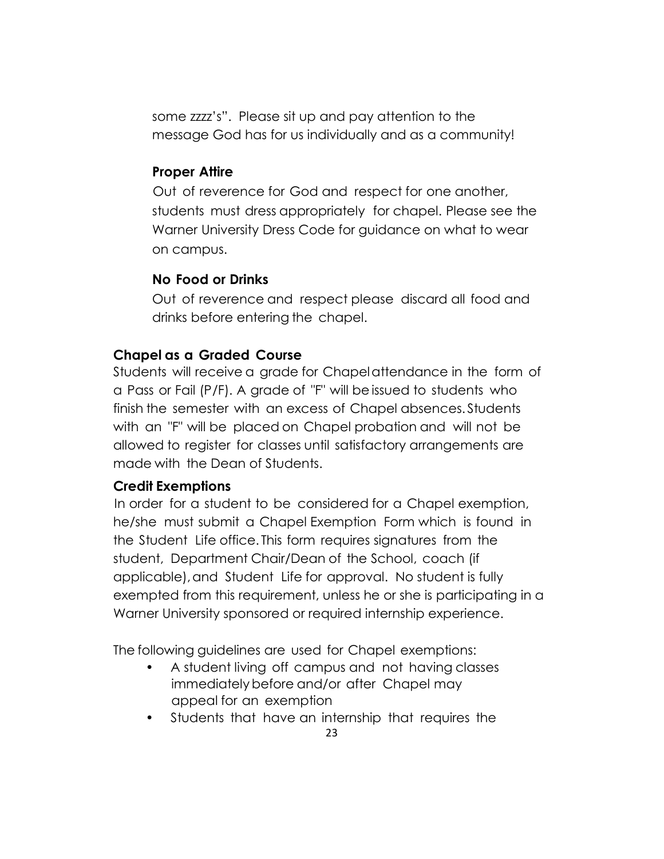some zzzz's". Please sit up and pay attention to the message God has for us individually and as a community!

## **Proper Attire**

Out of reverence for God and respect for one another, students must dress appropriately for chapel. Please see the Warner University Dress Code for guidance on what to wear on campus.

# **No Food or Drinks**

Out of reverence and respect please discard all food and drinks before entering the chapel.

# **Chapel as a Graded Course**

Students will receive a grade for Chapel attendance in the form of a Pass or Fail (P /F). A grade of "F" will be issued to students who finish the semester with an excess of Chapel absences. Students with an "F" will be placed on Chapel probation and will not be allowed to register for classes until satisfactory arrangements are made with the Dean of Students.

# **Credit Exemptions**

In order for a student to be considered for a Chapel exemption, he/she must submit a Chapel Exemption Form which is found in the Student Life office. This form requires signatures from the student, Department Chair/Dean of the School, coach (if applicable), and Student Life for approval. No student is fully exempted from this requirement, unless he or she is participating in a Warner University sponsored or required internship experience.

The following guidelines are used for Chapel exemptions:

- A student living off campus and not having classes immediately before and/or after Chapel may appeal for an exemption
- Students that have an internship that requires the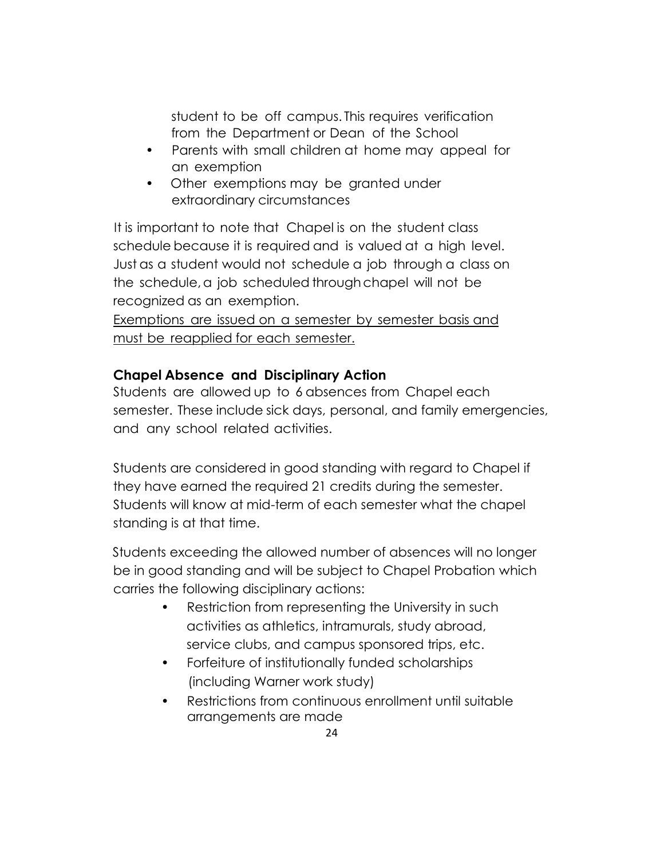student to be off campus. This requires verification from the Department or Dean of the School

- Parents with small children at home may appeal for an exemption
- Other exemptions may be granted under extraordinary circumstances

It is important to note that Chapel is on the student class schedule because it is required and is valued at a high level. Just as a student would not schedule a job through a class on the schedule, a job scheduled through chapel will not be recognized as an exemption.

Exemptions are issued on a semester by semester basis and must be reapplied for each semester.

# **Chapel Absence and Disciplinary Action**

Students are allowed up to 6 absences from Chapel each semester. These include sick days, personal, and family emergencies, and any school related activities.

Students are considered in good standing with regard to Chapel if they have earned the required 21 credits during the semester. Students will know at mid-term of each semester what the chapel standing is at that time.

Students exceeding the allowed number of absences will no longer be in good standing and will be subject to Chapel Probation which carries the following disciplinary actions:

- Restriction from representing the University in such activities as athletics, intramurals, study abroad, service clubs, and campus sponsored trips, etc.
- Forfeiture of institutionally funded scholarships (including Warner work study)
- Restrictions from continuous enrollment until suitable arrangements are made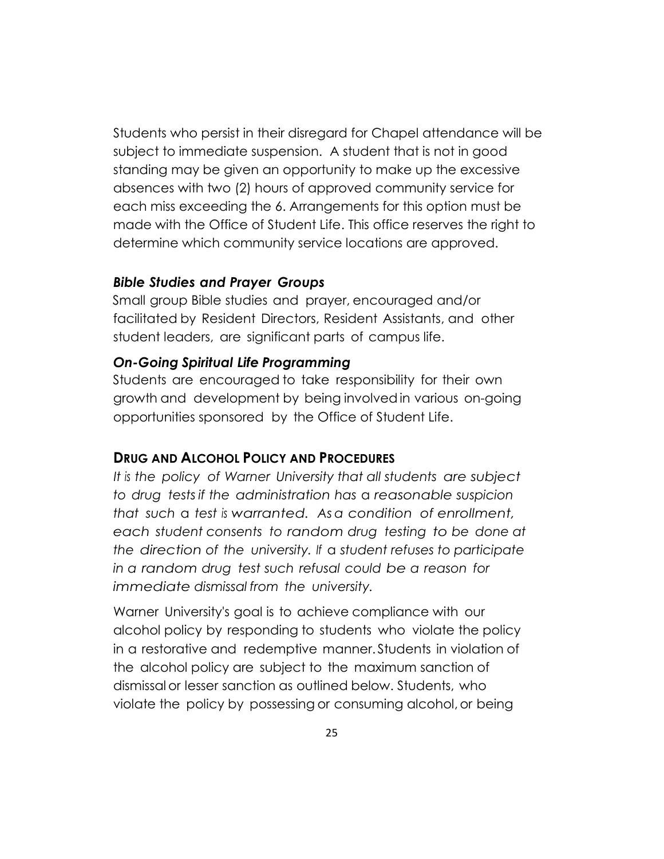Students who persist in their disregard for Chapel attendance will be subject to immediate suspension. A student that is not in good standing may be given an opportunity to make up the excessive absences with two (2) hours of approved community service for each miss exceeding the 6. Arrangements for this option must be made with the Office of Student Life. This office reserves the right to determine which community service locations are approved.

#### *Bible Studies and Prayer Groups*

Small group Bible studies and prayer, encouraged and/or facilitated by Resident Directors, Resident Assistants, and other student leaders, are significant parts of campus life.

#### *On-Going Spiritual Life Programming*

Students are encouraged to take responsibility for their own growth and development by being involved in various on-going opportunities sponsored by the Office of Student Life.

#### **DRUG AND ALCOHOL POLICY AND PROCEDURES**

*It is the policy of Warner University that all students are subject to drug tests if the administration has* a *reasonable suspicion that such* a *test is warranted. As a condition of enrollment, each student consents to random drug testing to be done at the direction of the university. If* a *student refuses to participate in a random drug test such refusal could be a reason for immediate dismissal from the university.*

Warner University's goal is to achieve compliance with our alcohol policy by responding to students who violate the policy in a restorative and redemptive manner. Students in violation of the alcohol policy are subject to the maximum sanction of dismissal or lesser sanction as outlined below. Students, who violate the policy by possessing or consuming alcohol, or being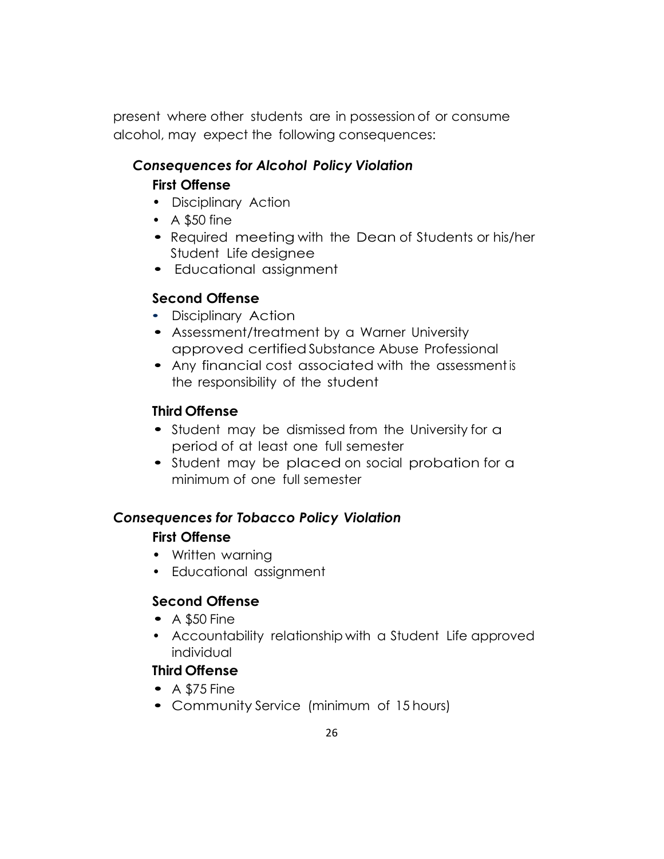present where other students are in possession of or consume alcohol, may expect the following consequences:

# *Consequences for Alcohol Policy Violation* **First Offense**

- Disciplinary Action
- A \$50 fine
- Required meeting with the Dean of Students or his/her Student Life designee
- Educational assignment

# **Second Offense**

- Disciplinary Action
- Assessment/treatment by a Warner University approved certified Substance Abuse Professional
- Any financial cost associated with the assessment is the responsibility of the student

# **Third Offense**

- Student may be dismissed from the University for a period of at least one full semester
- Student may be placed on social probation for a minimum of one full semester

# *Consequences for Tobacco Policy Violation*

# **First Offense**

- Written warning
- Educational assignment

# **Second Offense**

- $\bullet$  A \$50 Fine
- Accountability relationship with a Student Life approved individual

# **Third Offense**

- $\bullet$  A \$75 Fine
- Community Service (minimum of 15 hours)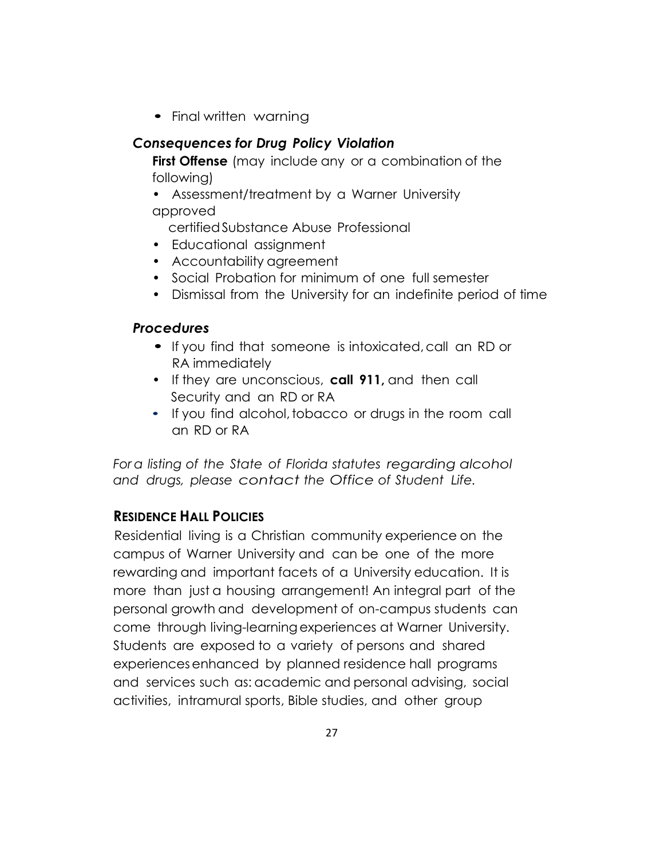• Final written warning

## *Consequences for Drug Policy Violation*

**First Offense** (may include any or a combination of the following)

• Assessment/treatment by a Warner University approved

certified Substance Abuse Professional

- Educational assignment
- Accountability agreement
- Social Probation for minimum of one full semester
- Dismissal from the University for an indefinite period of time

#### *Procedures*

- If you find that someone is intoxicated, call an RD or RA immediately
- If they are unconscious, **call 911,** and then call Security and an RD or RA
- If you find alcohol, tobacco or drugs in the room call an RD or RA

*For a listing of the State of Florida statutes regarding alcohol and drugs, please contact the Office of Student Life.*

# **RESIDENCE HALL POLICIES**

Residential living is a Christian community experience on the campus of Warner University and can be one of the more rewarding and important facets of a University education. It is more than just a housing arrangement! An integral part of the personal growth and development of on-campus students can come through living-learning experiences at Warner University. Students are exposed to a variety of persons and shared experiences enhanced by planned residence hall programs and services such as: academic and personal advising, social activities, intramural sports, Bible studies, and other group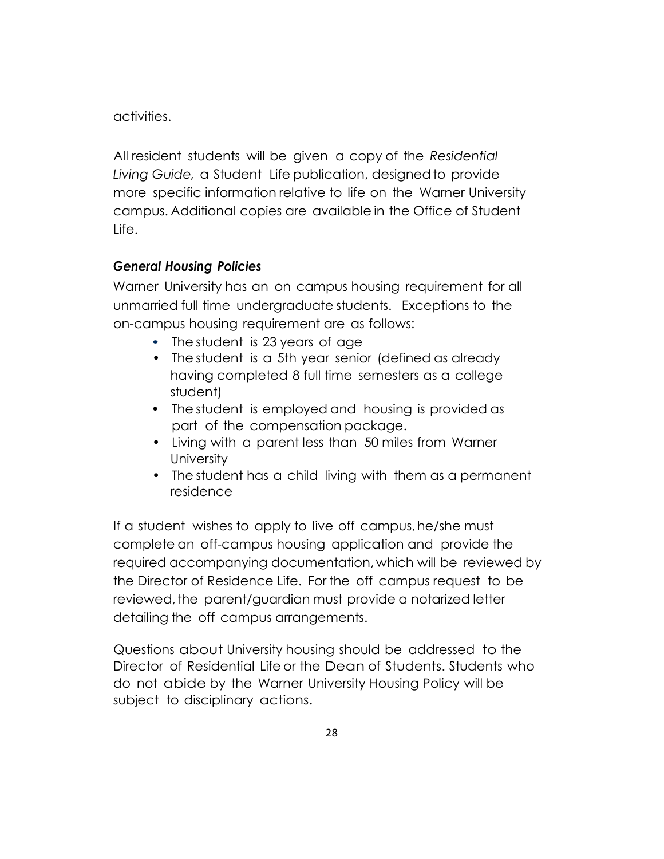activities.

All resident students will be given a copy of the *Residential Living Guide,* a Student Life publication, designed to provide more specific information relative to life on the Warner University campus. Additional copies are available in the Office of Student Life.

# *General Housing Policies*

Warner University has an on campus housing requirement for all unmarried full time undergraduate students. Exceptions to the on-campus housing requirement are as follows:

- The student is 23 years of age
- The student is a 5th year senior (defined as already having completed 8 full time semesters as a college student)
- The student is employed and housing is provided as part of the compensation package.
- Living with a parent less than 50 miles from Warner **University**
- The student has a child living with them as a permanent residence

If a student wishes to apply to live off campus, he/she must complete an off-campus housing application and provide the required accompanying documentation, which will be reviewed by the Director of Residence Life. For the off campus request to be reviewed, the parent/guardian must provide a notarized letter detailing the off campus arrangements.

Questions about University housing should be addressed to the Director of Residential Life or the Dean of Students. Students who do not abide by the Warner University Housing Policy will be subject to disciplinary actions.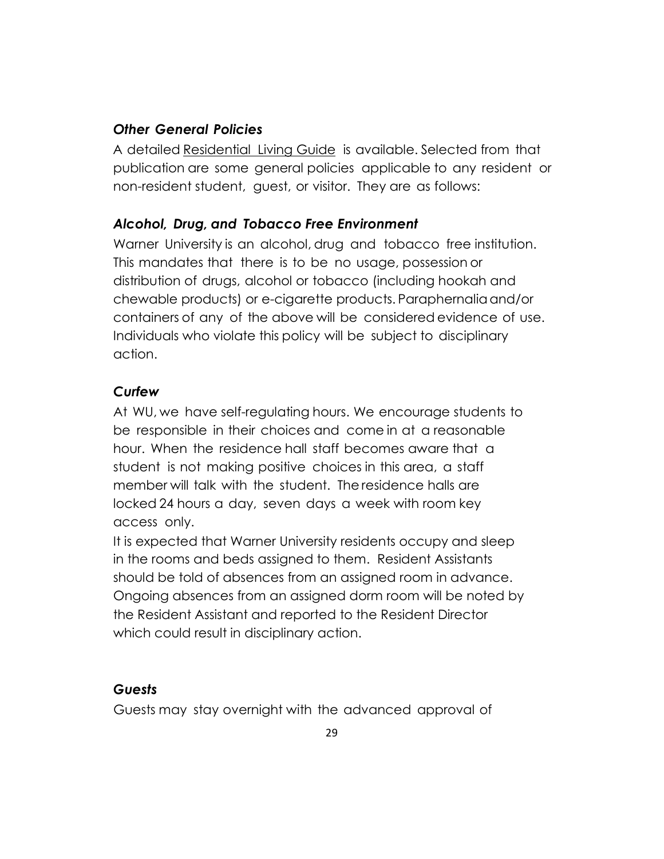#### *Other General Policies*

A detailed Residential Living Guide is available. Selected from that publication are some general policies applicable to any resident or non-resident student, guest, or visitor. They are as follows:

## *Alcohol, Drug, and Tobacco Free Environment*

Warner University is an alcohol, drug and tobacco free institution. This mandates that there is to be no usage, possession or distribution of drugs, alcohol or tobacco (including hookah and chewable products) or e-cigarette products. Paraphernalia and/or containers of any of the above will be considered evidence of use. Individuals who violate this policy will be subject to disciplinary action.

## *Curfew*

At WU, we have self-regulating hours. We encourage students to be responsible in their choices and come in at a reasonable hour. When the residence hall staff becomes aware that a student is not making positive choices in this area, a staff member will talk with the student. The residence halls are locked 24 hours a day, seven days a week with room key access only.

It is expected that Warner University residents occupy and sleep in the rooms and beds assigned to them. Resident Assistants should be told of absences from an assigned room in advance. Ongoing absences from an assigned dorm room will be noted by the Resident Assistant and reported to the Resident Director which could result in disciplinary action.

#### *Guests*

Guests may stay overnight with the advanced approval of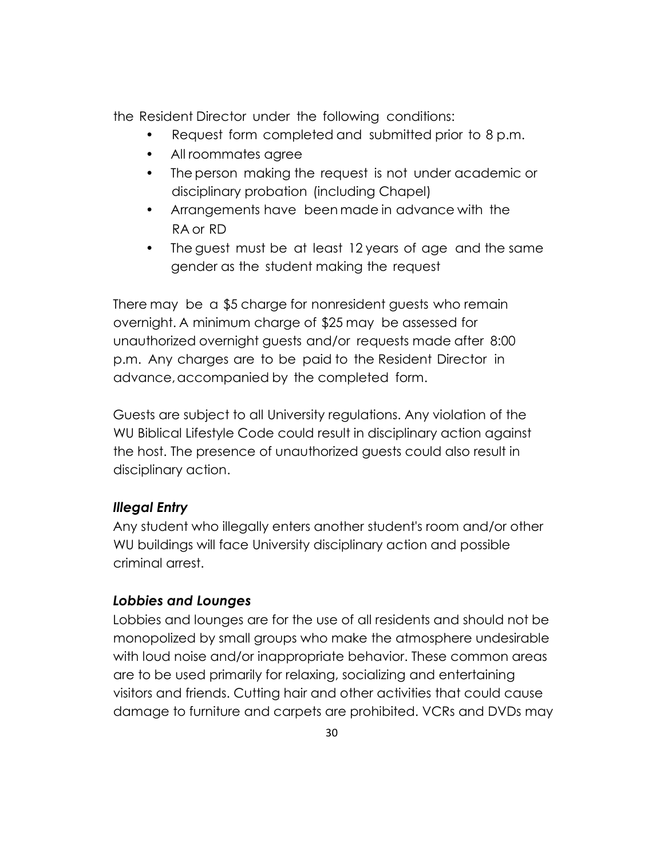the Resident Director under the following conditions:

- Request form completed and submitted prior to 8 p.m.
- All roommates agree
- The person making the request is not under academic or disciplinary probation (including Chapel)
- Arrangements have been made in advance with the RA or RD
- The guest must be at least 12 years of age and the same gender as the student making the request

There may be a \$5 charge for nonresident guests who remain overnight. A minimum charge of \$25 may be assessed for unauthorized overnight guests and/or requests made after 8:00 p.m. Any charges are to be paid to the Resident Director in advance, accompanied by the completed form.

Guests are subject to all University regulations. Any violation of the WU Biblical Lifestyle Code could result in disciplinary action against the host. The presence of unauthorized guests could also result in disciplinary action.

# *Illegal Entry*

Any student who illegally enters another student's room and/or other WU buildings will face University disciplinary action and possible criminal arrest.

# *Lobbies and Lounges*

Lobbies and lounges are for the use of all residents and should not be monopolized by small groups who make the atmosphere undesirable with loud noise and/or inappropriate behavior. These common areas are to be used primarily for relaxing, socializing and entertaining visitors and friends. Cutting hair and other activities that could cause damage to furniture and carpets are prohibited. VCRs and DVDs may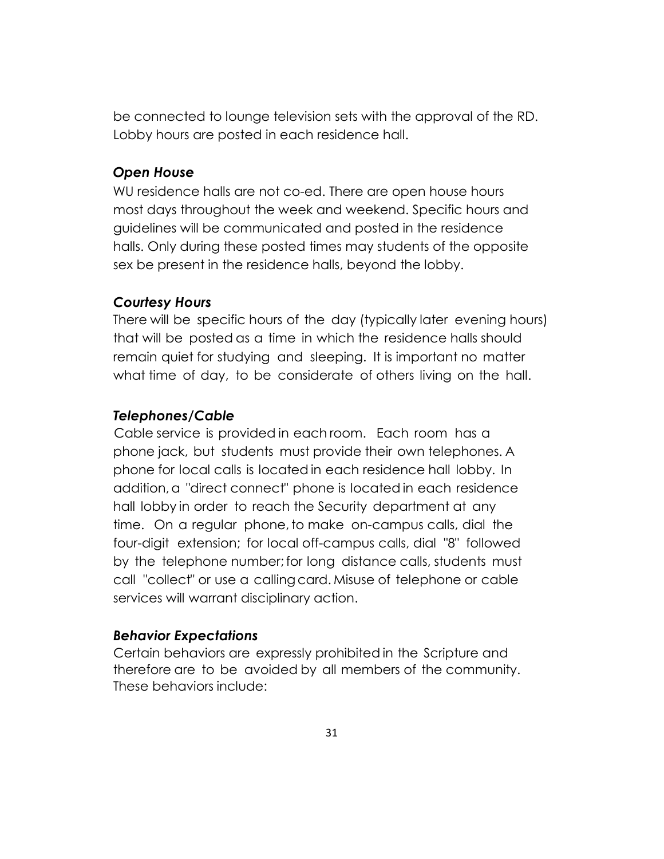be connected to lounge television sets with the approval of the RD. Lobby hours are posted in each residence hall.

#### *Open House*

WU residence halls are not co-ed. There are open house hours most days throughout the week and weekend. Specific hours and guidelines will be communicated and posted in the residence halls. Only during these posted times may students of the opposite sex be present in the residence halls, beyond the lobby.

#### *Courtesy Hours*

There will be specific hours of the day (typically later evening hours) that will be posted as a time in which the residence halls should remain quiet for studying and sleeping. It is important no matter what time of day, to be considerate of others living on the hall.

#### *Telephones/Cable*

Cable service is provided in each room. Each room has a phone jack, but students must provide their own telephones. A phone for local calls is located in each residence hall lobby. In addition, a "direct connect" phone is located in each residence hall lobby in order to reach the Security department at any time. On a regular phone, to make on-campus calls, dial the four-digit extension; for local off-campus calls, dial "8" followed by the telephone number; for long distance calls, students must call "collect" or use a calling card. Misuse of telephone or cable services will warrant disciplinary action.

#### *Behavior Expectations*

Certain behaviors are expressly prohibited in the Scripture and therefore are to be avoided by all members of the community. These behaviors include: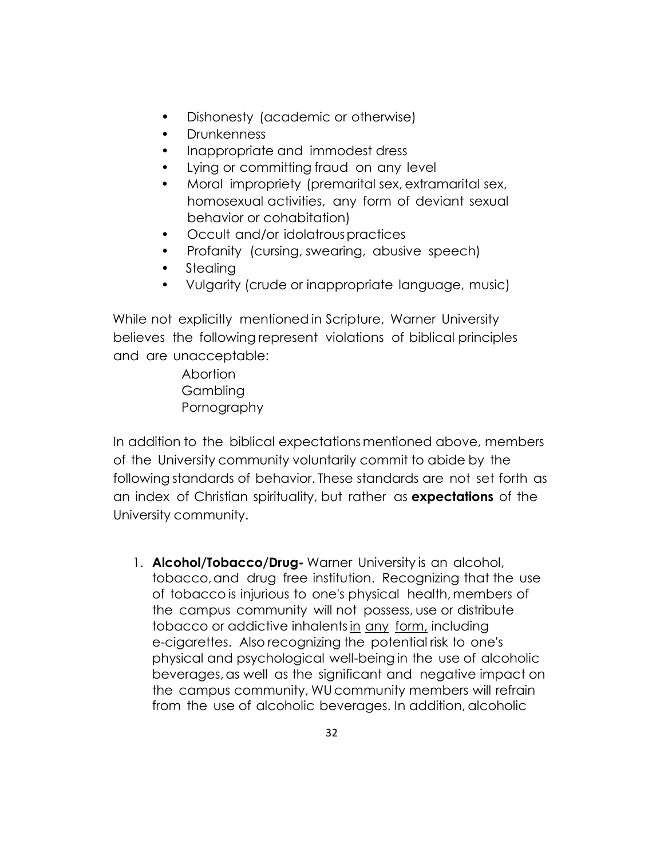- Dishonesty (academic or otherwise)
- Drunkenness
- Inappropriate and immodest dress
- Lying or committing fraud on any level
- Moral impropriety (premarital sex, extramarital sex, homosexual activities, any form of deviant sexual behavior or cohabitation)
- Occult and/or idolatrous practices
- Profanity (cursing, swearing, abusive speech)
- **Stealing**
- Vulgarity (crude or inappropriate language, music)

While not explicitly mentioned in Scripture, Warner University believes the following represent violations of biblical principles and are unacceptable:

> Abortion Gambling Pornography

In addition to the biblical expectations mentioned above, members of the University community voluntarily commit to abide by the following standards of behavior. These standards are not set forth as an index of Christian spirituality, but rather as **expectations** of the University community.

1. **Alcohol/Tobacco/Drug-** Warner University is an alcohol, tobacco, and drug free institution. Recognizing that the use of tobacco is injurious to one's physical health, members of the campus community will not possess, use or distribute tobacco or addictive inhalents in any form, including e-cigarettes. Also recognizing the potential risk to one's physical and psychological well-being in the use of alcoholic beverages, as well as the significant and negative impact on the campus community, WU community members will refrain from the use of alcoholic beverages. In addition, alcoholic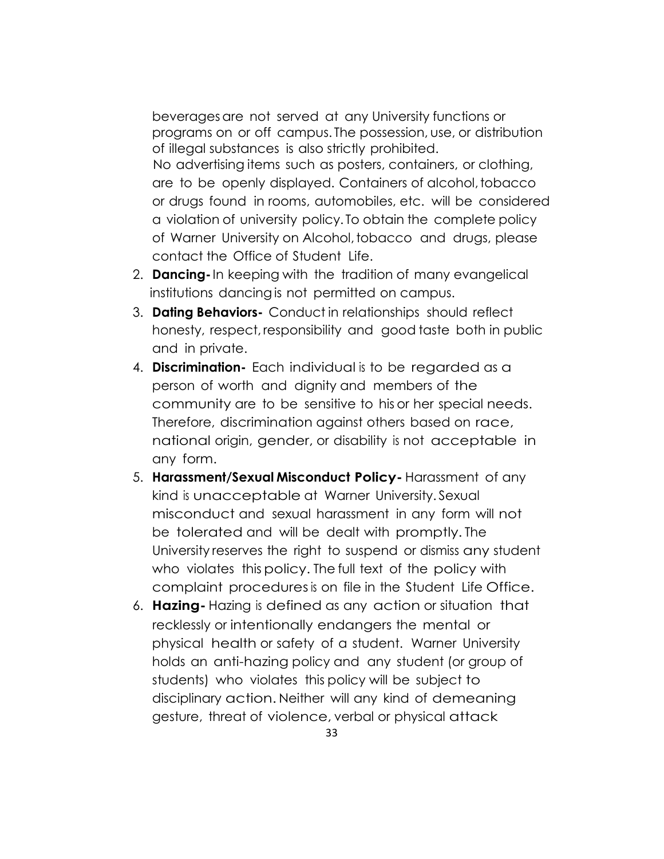beverages are not served at any University functions or programs on or off campus. The possession, use, or distribution of illegal substances is also strictly prohibited.

No advertising items such as posters, containers, or clothing, are to be openly displayed. Containers of alcohol, tobacco or drugs found in rooms, automobiles, etc. will be considered a violation of university policy. To obtain the complete policy of Warner University on Alcohol, tobacco and drugs, please contact the Office of Student Life.

- 2. **Dancing-** In keeping with the tradition of many evangelical institutions dancing is not permitted on campus.
- 3. **Dating Behaviors-** Conduct in relationships should reflect honesty, respect, responsibility and good taste both in public and in private.
- 4. **Discrimination-** Each individual is to be regarded as a person of worth and dignity and members of the community are to be sensitive to his or her special needs. Therefore, discrimination against others based on race, national origin, gender, or disability is not acceptable in any form.
- 5. **Harassment/Sexual Misconduct Policy-** Harassment of any kind is unacceptable at Warner University. Sexual misconduct and sexual harassment in any form will not be tolerated and will be dealt with promptly. The University reserves the right to suspend or dismiss any student who violates this policy. The full text of the policy with complaint procedures is on file in the Student Life Office.
- 6. **Hazing-** Hazing is defined as any action or situation that recklessly or intentionally endangers the mental or physical health or safety of a student. Warner University holds an anti-hazing policy and any student (or group of students) who violates this policy will be subject to disciplinary action. Neither will any kind of demeaning gesture, threat of violence, verbal or physical attack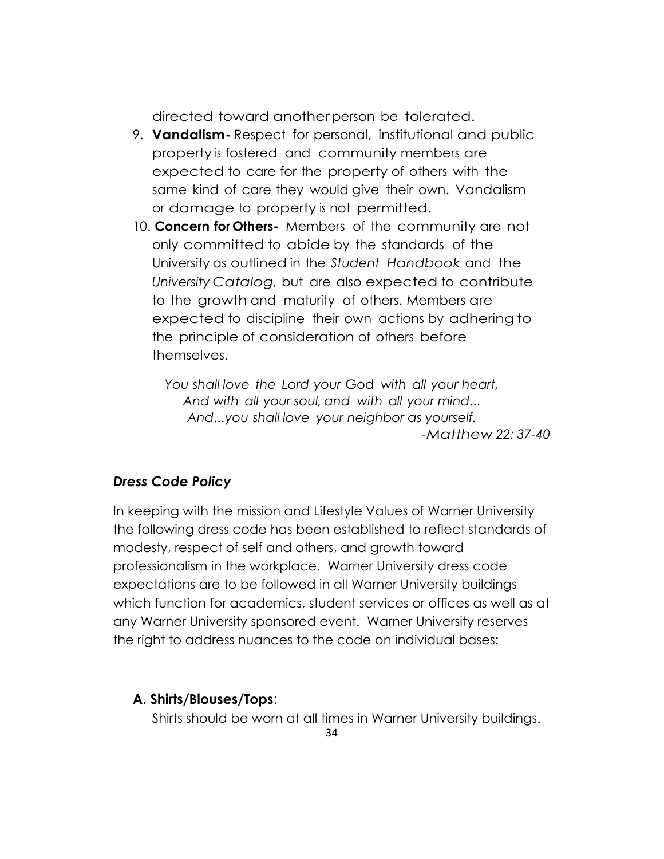directed toward another person be tolerated.

- 9. **Vandalism-** Respect for personal, institutional and public property is fostered and community members are expected to care for the property of others with the same kind of care they would give their own. Vandalism or damage to property is not permitted.
- 10. **Concern for Others-** Members of the community are not only committed to abide by the standards of the University as outlined in the *Student Handbook* and the *University Catalog,* but are also expected to contribute to the growth and maturity of others. Members are expected to discipline their own actions by adhering to the principle of consideration of others before themselves.

*You shall love the Lord your* God *with all your heart, And with all your soul, and with all your mind... And...you shall love your neighbor as yourself. -Matthew 22: 37-40*

#### *Dress Code Policy*

In keeping with the mission and Lifestyle Values of Warner University the following dress code has been established to reflect standards of modesty, respect of self and others, and growth toward professionalism in the workplace. Warner University dress code expectations are to be followed in all Warner University buildings which function for academics, student services or offices as well as at any Warner University sponsored event. Warner University reserves the right to address nuances to the code on individual bases:

#### **A. Shirts/Blouses/Tops**:

Shirts should be worn at all times in Warner University buildings.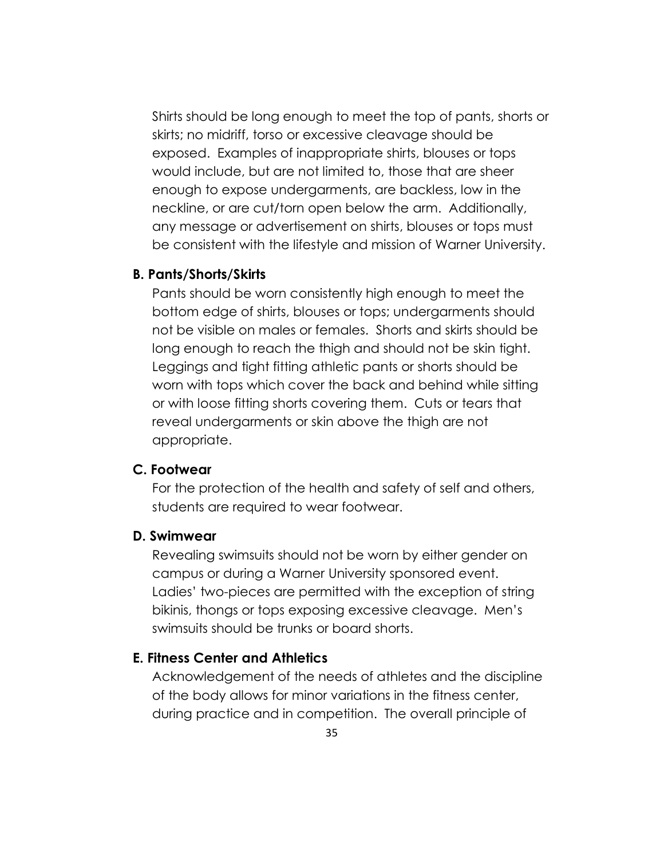Shirts should be long enough to meet the top of pants, shorts or skirts; no midriff, torso or excessive cleavage should be exposed. Examples of inappropriate shirts, blouses or tops would include, but are not limited to, those that are sheer enough to expose undergarments, are backless, low in the neckline, or are cut/torn open below the arm. Additionally, any message or advertisement on shirts, blouses or tops must be consistent with the lifestyle and mission of Warner University.

#### **B. Pants/Shorts/Skirts**

Pants should be worn consistently high enough to meet the bottom edge of shirts, blouses or tops; undergarments should not be visible on males or females. Shorts and skirts should be long enough to reach the thigh and should not be skin tight. Leggings and tight fitting athletic pants or shorts should be worn with tops which cover the back and behind while sitting or with loose fitting shorts covering them. Cuts or tears that reveal undergarments or skin above the thigh are not appropriate.

#### **C. Footwear**

For the protection of the health and safety of self and others, students are required to wear footwear.

#### **D. Swimwear**

Revealing swimsuits should not be worn by either gender on campus or during a Warner University sponsored event. Ladies' two-pieces are permitted with the exception of string bikinis, thongs or tops exposing excessive cleavage. Men's swimsuits should be trunks or board shorts.

#### **E. Fitness Center and Athletics**

Acknowledgement of the needs of athletes and the discipline of the body allows for minor variations in the fitness center, during practice and in competition. The overall principle of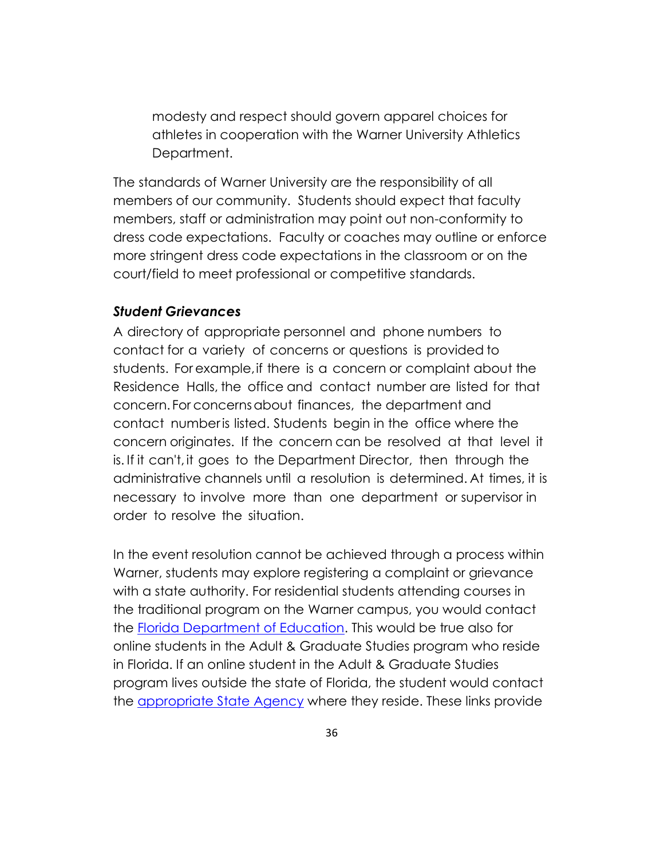modesty and respect should govern apparel choices for athletes in cooperation with the Warner University Athletics Department.

The standards of Warner University are the responsibility of all members of our community. Students should expect that faculty members, staff or administration may point out non-conformity to dress code expectations. Faculty or coaches may outline or enforce more stringent dress code expectations in the classroom or on the court/field to meet professional or competitive standards.

#### *Student Grievances*

A directory of appropriate personnel and phone numbers to contact for a variety of concerns or questions is provided to students. For example, if there is a concern or complaint about the Residence Halls, the office and contact number are listed for that concern. For concerns about finances, the department and contact number is listed. Students begin in the office where the concern originates. If the concern can be resolved at that level it is. If it can't, it goes to the Department Director, then through the administrative channels until a resolution is determined. At times, it is necessary to involve more than one department or supervisor in order to resolve the situation.

In the event resolution cannot be achieved through a process within Warner, students may explore registering a complaint or grievance with a state authority. For residential students attending courses in the traditional program on the Warner campus, you would contact the [Florida Department of Education.](http://www.fldoe.org/policy/cie/file-a-complaint.stml) This would be true also for online students in the Adult & Graduate Studies program who reside in Florida. If an online student in the Adult & Graduate Studies program lives outside the state of Florida, the student would contact the [appropriate State Agency](http://warner.edu/wp-content/uploads/2015/07/Appropriate-State-Agency.pdf) where they reside. These links provide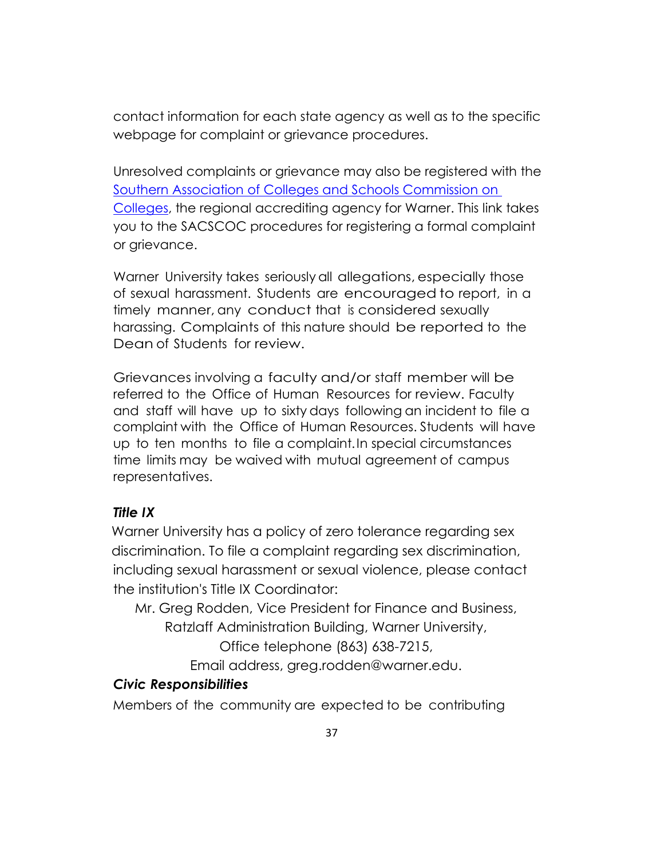contact information for each state agency as well as to the specific webpage for complaint or grievance procedures.

Unresolved complaints or grievance may also be registered with the [Southern Association of Colleges and Schools Commission on](http://www.sacscoc.org/pdf/081705/complaintpolicy.pdf)  [Colleges,](http://www.sacscoc.org/pdf/081705/complaintpolicy.pdf) the regional accrediting agency for Warner. This link takes you to the SACSCOC procedures for registering a formal complaint or grievance.

Warner University takes seriously all allegations, especially those of sexual harassment. Students are encouraged to report, in a timely manner, any conduct that is considered sexually harassing. Complaints of this nature should be reported to the Dean of Students for review.

Grievances involving a faculty and/or staff member will be referred to the Office of Human Resources for review. Faculty and staff will have up to sixty days following an incident to file a complaint with the Office of Human Resources. Students will have up to ten months to file a complaint. In special circumstances time limits may be waived with mutual agreement of campus representatives.

#### *Title IX*

Warner University has a policy of zero tolerance regarding sex discrimination. To file a complaint regarding sex discrimination, including sexual harassment or sexual violence, please contact the institution's Title IX Coordinator:

Mr. Greg Rodden, Vice President for Finance and Business, Ratzlaff Administration Building, Warner University,

Office telephone (863) 638-7215,

Email address, greg.rodden@warner.edu.

#### *Civic Responsibilities*

Members of the community are expected to be contributing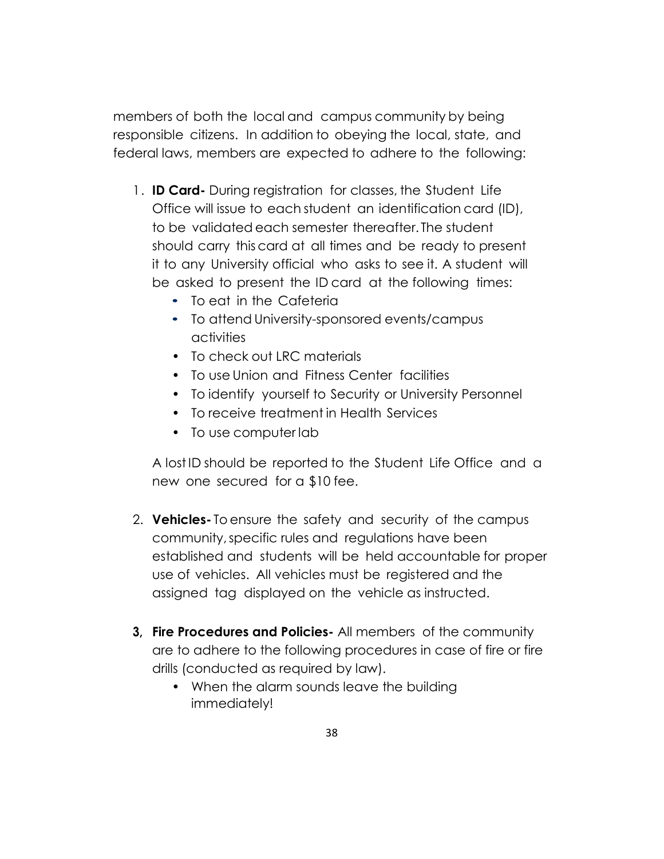members of both the local and campus community by being responsible citizens. In addition to obeying the local, state, and federal laws, members are expected to adhere to the following:

- 1 . **ID Card-** During registration for classes, the Student Life Office will issue to each student an identification card (ID), to be validated each semester thereafter. The student should carry this card at all times and be ready to present it to any University official who asks to see it. A student will be asked to present the ID card at the following times:
	- To eat in the Cafeteria
	- To attend University-sponsored events/campus activities
	- To check out LRC materials
	- To use Union and Fitness Center facilities
	- To identify yourself to Security or University Personnel
	- To receive treatment in Health Services
	- To use computer lab

A lost ID should be reported to the Student Life Office and a new one secured for a \$10 fee.

- 2. **Vehicles-** To ensure the safety and security of the campus community, specific rules and regulations have been established and students will be held accountable for proper use of vehicles. All vehicles must be registered and the assigned tag displayed on the vehicle as instructed.
- **3, Fire Procedures and Policies-** All members of the community are to adhere to the following procedures in case of fire or fire drills (conducted as required by law).
	- When the alarm sounds leave the building immediately!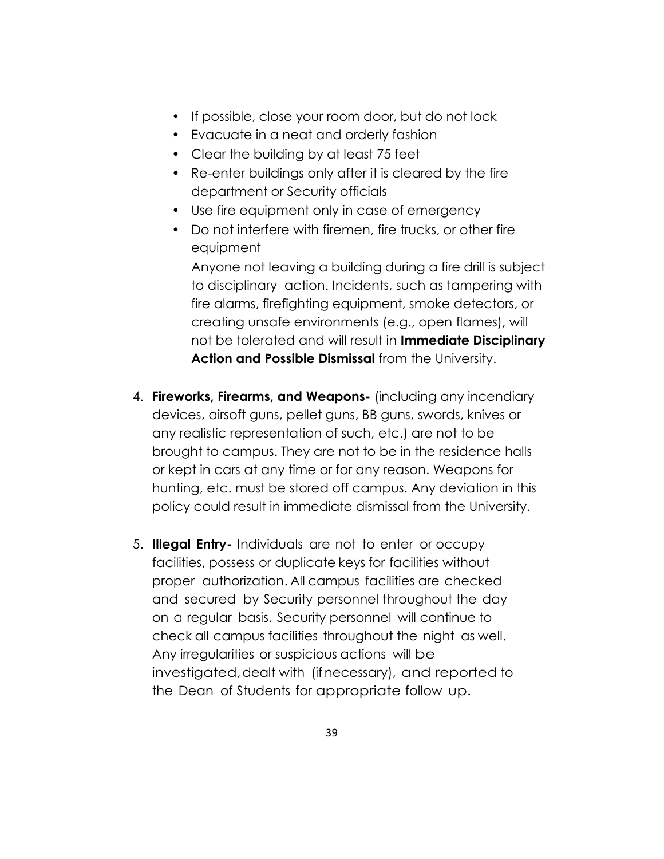- If possible, close your room door, but do not lock
- Evacuate in a neat and orderly fashion
- Clear the building by at least 75 feet
- Re-enter buildings only after it is cleared by the fire department or Security officials
- Use fire equipment only in case of emergency
- Do not interfere with firemen, fire trucks, or other fire equipment

Anyone not leaving a building during a fire drill is subject to disciplinary action. Incidents, such as tampering with fire alarms, firefighting equipment, smoke detectors, or creating unsafe environments (e.g., open flames), will not be tolerated and will result in **Immediate Disciplinary Action and Possible Dismissal** from the University.

- 4. **Fireworks, Firearms, and Weapons-** (including any incendiary devices, airsoft guns, pellet guns, BB guns, swords, knives or any realistic representation of such, etc.) are not to be brought to campus. They are not to be in the residence halls or kept in cars at any time or for any reason. Weapons for hunting, etc. must be stored off campus. Any deviation in this policy could result in immediate dismissal from the University.
- 5. **Illegal Entry-** Individuals are not to enter or occupy facilities, possess or duplicate keys for facilities without proper authorization. All campus facilities are checked and secured by Security personnel throughout the day on a regular basis. Security personnel will continue to check all campus facilities throughout the night as well. Any irregularities or suspicious actions will be investigated, dealt with (if necessary), and reported to the Dean of Students for appropriate follow up.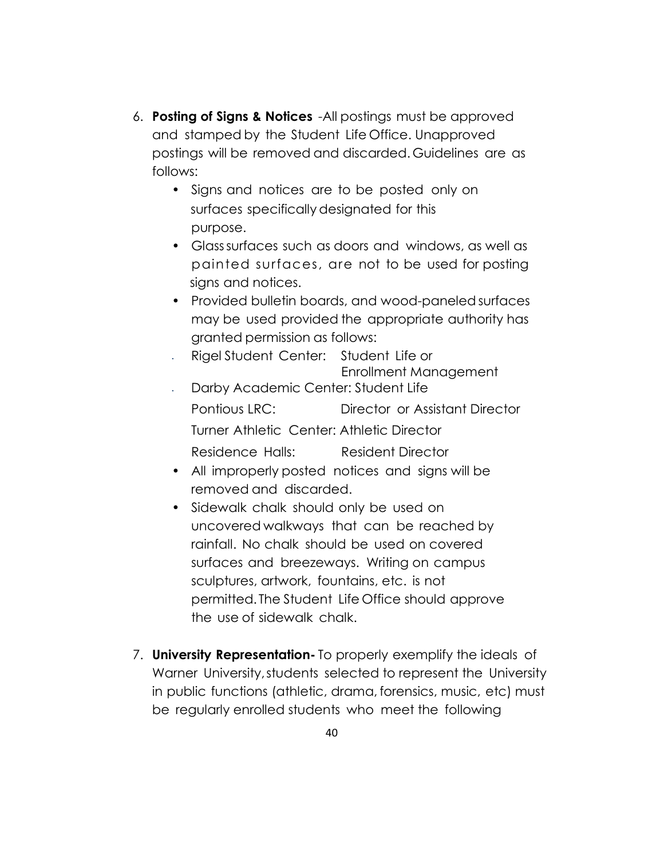- 6. **Posting of Signs & Notices**  All postings must be approved and stamped by the Student Life Office. Unapproved postings will be removed and discarded. Guidelines are as follows:
	- Signs and notices are to be posted only on surfaces specifically designated for this purpose.
	- Glass surfaces such as doors and windows, as well as painted surfaces, are not to be used for posting signs and notices.
	- Provided bulletin boards, and wood-paneled surfaces may be used provided the appropriate authority has granted permission as follows:
	- Rigel Student Center: Student Life or Enrollment Management • Darby Academic Center: Student Life Pontious LRC: Director or Assistant Director Turner Athletic Center: Athletic Director Residence Halls: Resident Director
	- All improperly posted notices and signs will be removed and discarded.
	- Sidewalk chalk should only be used on uncovered walkways that can be reached by rainfall. No chalk should be used on covered surfaces and breezeways. Writing on campus sculptures, artwork, fountains, etc. is not permitted. The Student Life Office should approve the use of sidewalk chalk.
- 7. **University Representation-** To properly exemplify the ideals of Warner University, students selected to represent the University in public functions (athletic, drama, forensics, music, etc) must be regularly enrolled students who meet the following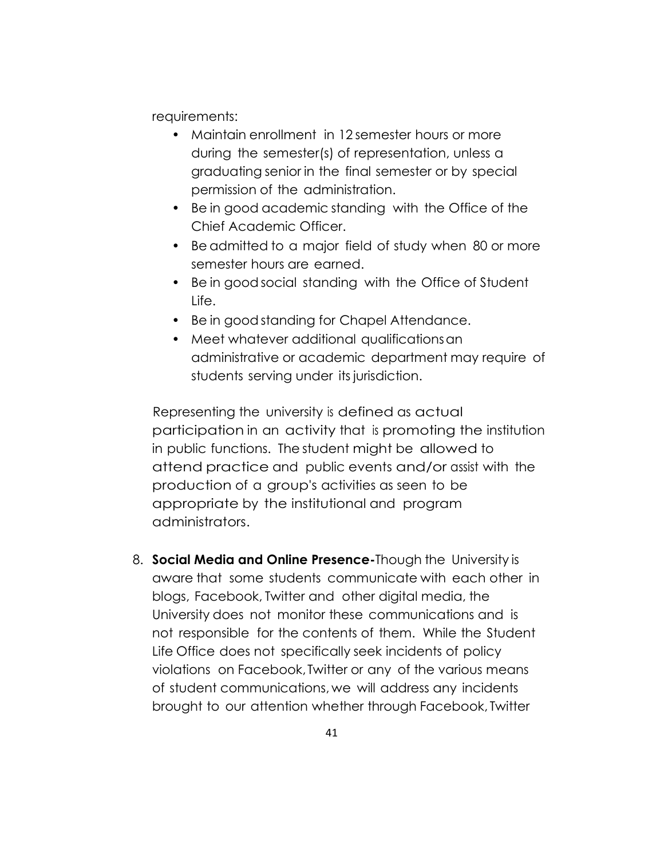requirements:

- Maintain enrollment in 12 semester hours or more during the semester(s) of representation, unless a graduating senior in the final semester or by special permission of the administration.
- Be in good academic standing with the Office of the Chief Academic Officer.
- Be admitted to a major field of study when 80 or more semester hours are earned.
- Be in good social standing with the Office of Student Life.
- Be in good standing for Chapel Attendance.
- Meet whatever additional qualifications an administrative or academic department may require of students serving under its jurisdiction.

Representing the university is defined as actual participation in an activity that is promoting the institution in public functions. The student might be allowed to attend practice and public events and/or assist with the production of a group's activities as seen to be appropriate by the institutional and program administrators.

8. **Social Media and Online Presence-**Though the University is aware that some students communicate with each other in blogs, Facebook, Twitter and other digital media, the University does not monitor these communications and is not responsible for the contents of them. While the Student Life Office does not specifically seek incidents of policy violations on Facebook, Twitter or any of the various means of student communications, we will address any incidents brought to our attention whether through Facebook, Twitter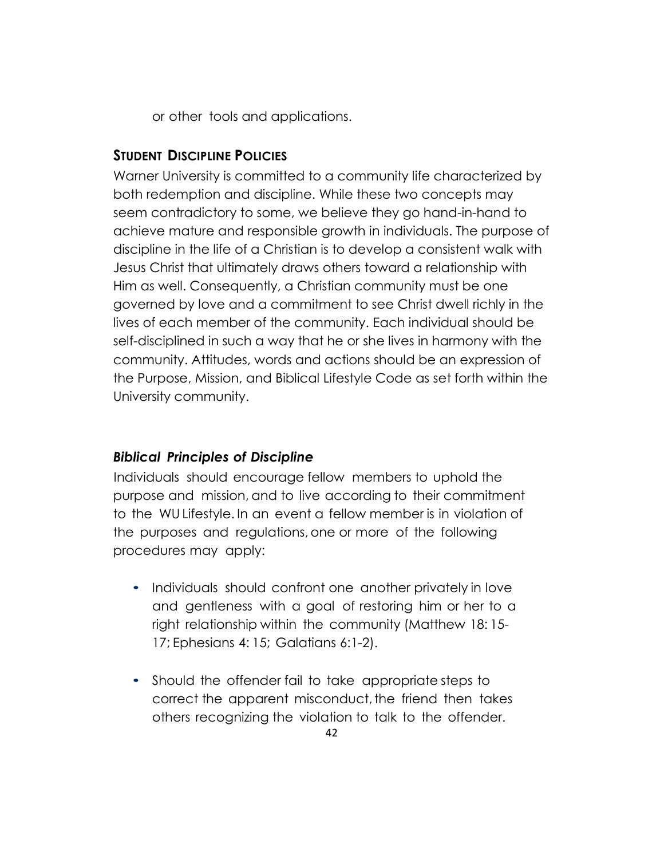or other tools and applications.

## **STUDENT DISCIPLINE POLICIES**

Warner University is committed to a community life characterized by both redemption and discipline. While these two concepts may seem contradictory to some, we believe they go hand-in-hand to achieve mature and responsible growth in individuals. The purpose of discipline in the life of a Christian is to develop a consistent walk with Jesus Christ that ultimately draws others toward a relationship with Him as well. Consequently, a Christian community must be one governed by love and a commitment to see Christ dwell richly in the lives of each member of the community. Each individual should be self-disciplined in such a way that he or she lives in harmony with the community. Attitudes, words and actions should be an expression of the Purpose, Mission, and Biblical Lifestyle Code as set forth within the University community.

# *Biblical Principles of Discipline*

Individuals should encourage fellow members to uphold the purpose and mission, and to live according to their commitment to the WU Lifestyle. In an event a fellow member is in violation of the purposes and regulations, one or more of the following procedures may apply:

- Individuals should confront one another privately in love and gentleness with a goal of restoring him or her to a right relationship within the community (Matthew 18: 15- 17; Ephesians 4: 15; Galatians 6:1-2).
- Should the offender fail to take appropriate steps to correct the apparent misconduct, the friend then takes others recognizing the violation to talk to the offender.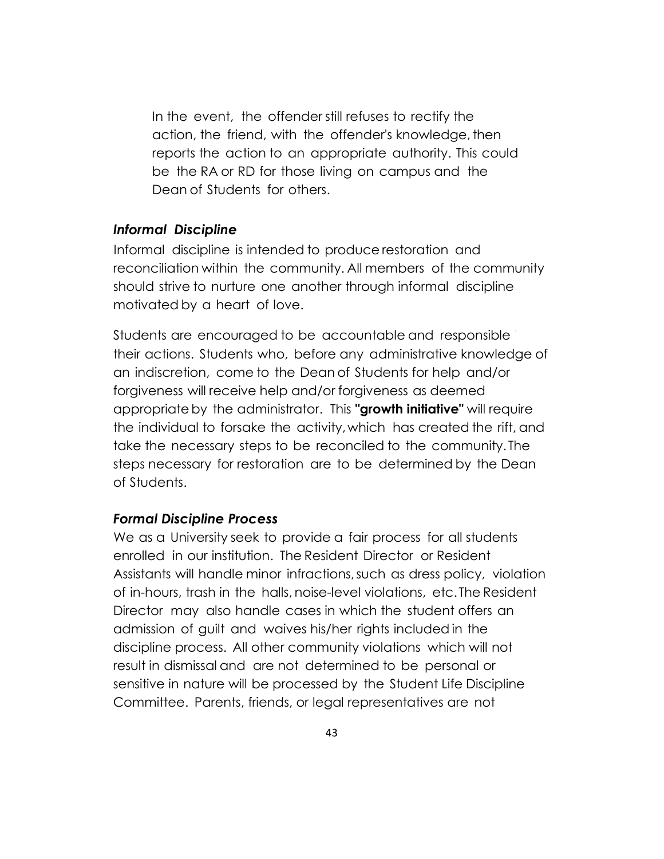In the event, the offender still refuses to rectify the action, the friend, with the offender's knowledge, then reports the action to an appropriate authority. This could be the RA or RD for those living on campus and the Dean of Students for others.

#### *Informal Discipline*

Informal discipline is intended to produce restoration and reconciliation within the community. All members of the community should strive to nurture one another through informal discipline motivated by a heart of love.

Students are encouraged to be accountable and responsible their actions. Students who, before any administrative knowledge of an indiscretion, come to the Dean of Students for help and/or forgiveness will receive help and/or forgiveness as deemed appropriate by the administrator. This **"growth initiative"** will require the individual to forsake the activity, which has created the rift, and take the necessary steps to be reconciled to the community. The steps necessary for restoration are to be determined by the Dean of Students.

#### *Formal Discipline Process*

We as a University seek to provide a fair process for all students enrolled in our institution. The Resident Director or Resident Assistants will handle minor infractions, such as dress policy, violation of in-hours, trash in the halls, noise-level violations, etc. The Resident Director may also handle cases in which the student offers an admission of guilt and waives his/her rights included in the discipline process. All other community violations which will not result in dismissal and are not determined to be personal or sensitive in nature will be processed by the Student Life Discipline Committee. Parents, friends, or legal representatives are not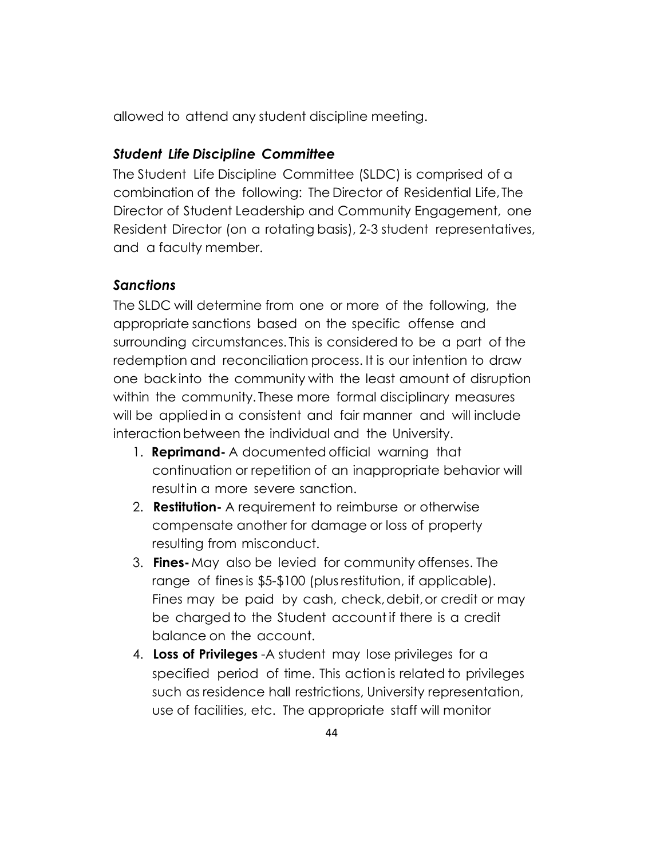allowed to attend any student discipline meeting.

## *Student Life Discipline Committee*

The Student Life Discipline Committee (SLDC) is comprised of a combination of the following: The Director of Residential Life, The Director of Student Leadership and Community Engagement, one Resident Director (on a rotating basis), 2-3 student representatives, and a faculty member.

## *Sanctions*

The SLDC will determine from one or more of the following, the appropriate sanctions based on the specific offense and surrounding circumstances. This is considered to be a part of the redemption and reconciliation process. It is our intention to draw one back into the community with the least amount of disruption within the community. These more formal disciplinary measures will be applied in a consistent and fair manner and will include interaction between the individual and the University.

- 1. **Reprimand-** A documented official warning that continuation or repetition of an inappropriate behavior will result in a more severe sanction.
- 2. **Restitution-** A requirement to reimburse or otherwise compensate another for damage or loss of property resulting from misconduct.
- 3. **Fines-** May also be levied for community offenses. The range of fines is \$5-\$100 (plus restitution, if applicable). Fines may be paid by cash, check, debit, or credit or may be charged to the Student account if there is a credit balance on the account.
- 4. **Loss of Privileges** A student may lose privileges for a specified period of time. This action is related to privileges such as residence hall restrictions, University representation, use of facilities, etc. The appropriate staff will monitor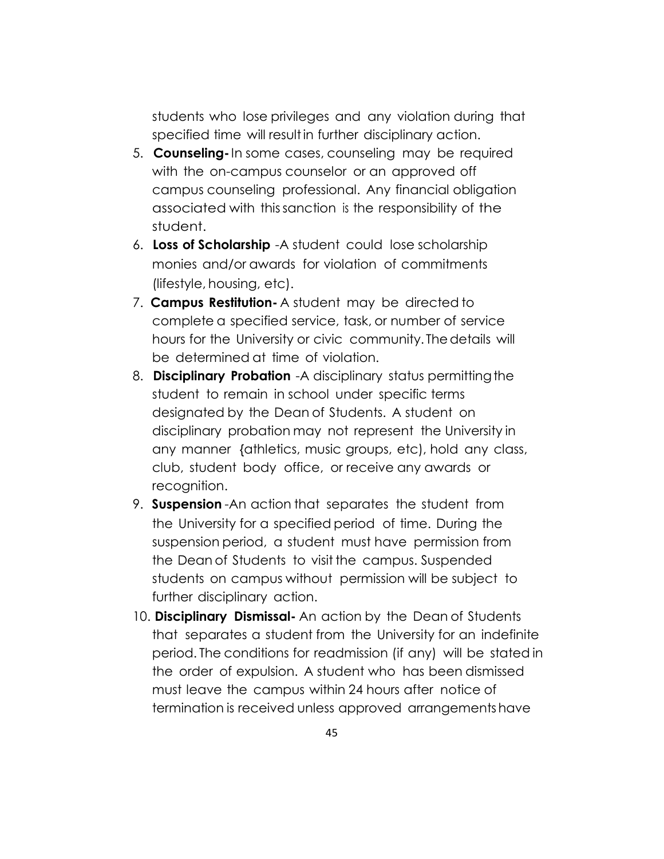students who lose privileges and any violation during that specified time will result in further disciplinary action.

- 5. **Counseling-** In some cases, counseling may be required with the on-campus counselor or an approved off campus counseling professional. Any financial obligation associated with this sanction is the responsibility of the student.
- 6. **Loss of Scholarship**  A student could lose scholarship monies and/or awards for violation of commitments (lifestyle, housing, etc).
- 7. **Campus Restitution-** A student may be directed to complete a specified service, task, or number of service hours for the University or civic community. The details will be determined at time of violation.
- 8. **Disciplinary Probation** A disciplinary status permitting the student to remain in school under specific terms designated by the Dean of Students. A student on disciplinary probation may not represent the University in any manner {athletics, music groups, etc), hold any class, club, student body office, or receive any awards or recognition.
- 9. **Suspension** An action that separates the student from the University for a specified period of time. During the suspension period, a student must have permission from the Dean of Students to visit the campus. Suspended students on campus without permission will be subject to further disciplinary action.
- 10. **Disciplinary Dismissal-** An action by the Dean of Students that separates a student from the University for an indefinite period. The conditions for readmission (if any) will be stated in the order of expulsion. A student who has been dismissed must leave the campus within 24 hours after notice of termination is received unless approved arrangements have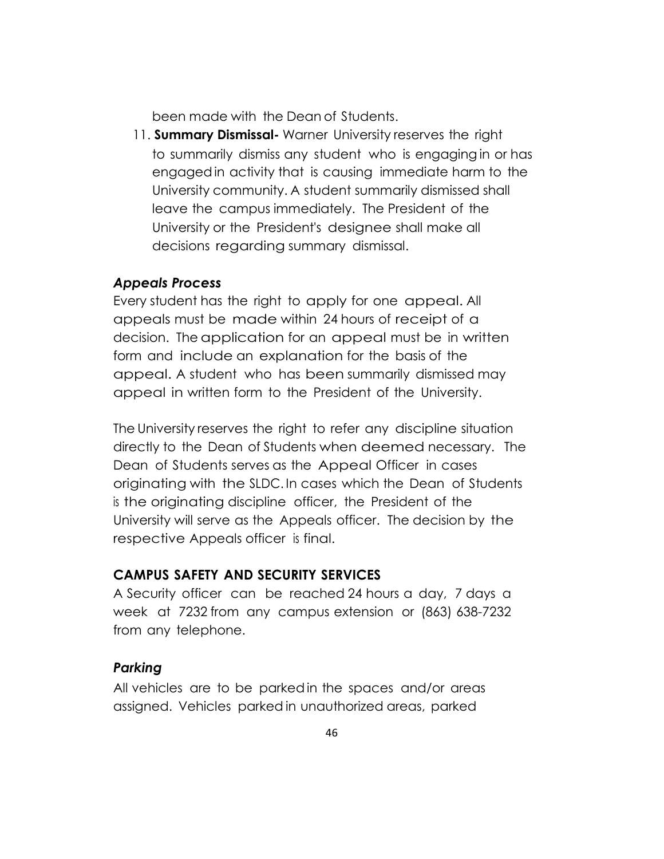been made with the Dean of Students.

11. **Summary Dismissal-** Warner University reserves the right to summarily dismiss any student who is engaging in or has engaged in activity that is causing immediate harm to the University community. A student summarily dismissed shall leave the campus immediately. The President of the University or the President's designee shall make all decisions regarding summary dismissal.

#### *Appeals Process*

Every student has the right to apply for one appeal. All appeals must be made within 24 hours of receipt of a decision. The application for an appeal must be in written form and include an explanation for the basis of the appeal. A student who has been summarily dismissed may appeal in written form to the President of the University.

The University reserves the right to refer any discipline situation directly to the Dean of Students when deemed necessary. The Dean of Students serves as the Appeal Officer in cases originating with the SLDC. In cases which the Dean of Students is the originating discipline officer, the President of the University will serve as the Appeals officer. The decision by the respective Appeals officer is final.

#### **CAMPUS SAFETY AND SECURITY SERVICES**

A Security officer can be reached 24 hours a day, 7 days a week at 7232 from any campus extension or (863) 638-7232 from any telephone.

#### *Parking*

All vehicles are to be parked in the spaces and/or areas assigned. Vehicles parked in unauthorized areas, parked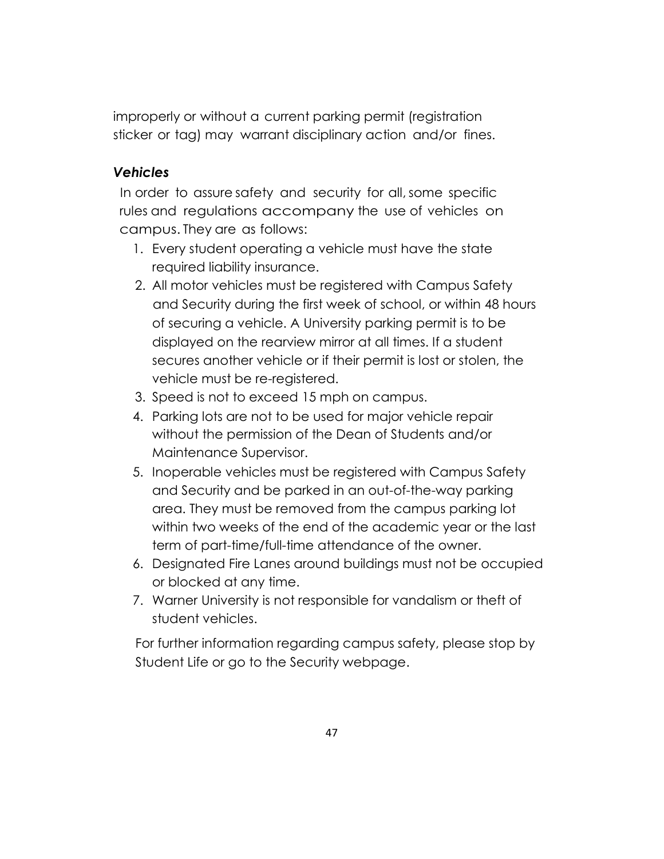improperly or without a current parking permit (registration sticker or tag) may warrant disciplinary action and/or fines.

# *Vehicles*

In order to assure safety and security for all, some specific rules and regulations accompany the use of vehicles on campus. They are as follows:

- 1. Every student operating a vehicle must have the state required liability insurance.
- 2. All motor vehicles must be registered with Campus Safety and Security during the first week of school, or within 48 hours of securing a vehicle. A University parking permit is to be displayed on the rearview mirror at all times. If a student secures another vehicle or if their permit is lost or stolen, the vehicle must be re-registered.
- 3. Speed is not to exceed 15 mph on campus.
- 4. Parking lots are not to be used for major vehicle repair without the permission of the Dean of Students and/or Maintenance Supervisor.
- 5. Inoperable vehicles must be registered with Campus Safety and Security and be parked in an out-of-the-way parking area. They must be removed from the campus parking lot within two weeks of the end of the academic year or the last term of part-time/full-time attendance of the owner.
- 6. Designated Fire Lanes around buildings must not be occupied or blocked at any time.
- 7. Warner University is not responsible for vandalism or theft of student vehicles.

For further information regarding campus safety, please stop by Student Life or go to the Security webpage.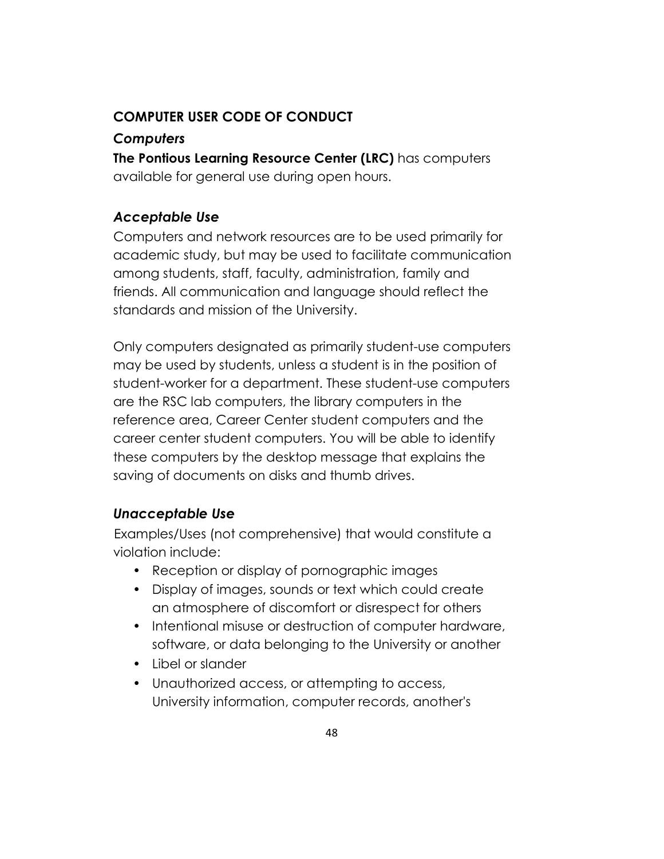# **COMPUTER USER CODE OF CONDUCT**

#### *Computers*

**The Pontious Learning Resource Center (LRC)** has computers available for general use during open hours.

#### *Acceptable Use*

Computers and network resources are to be used primarily for academic study, but may be used to facilitate communication among students, staff, faculty, administration, family and friends. All communication and language should reflect the standards and mission of the University.

Only computers designated as primarily student-use computers may be used by students, unless a student is in the position of student-worker for a department. These student-use computers are the RSC lab computers, the library computers in the reference area, Career Center student computers and the career center student computers. You will be able to identify these computers by the desktop message that explains the saving of documents on disks and thumb drives.

#### *Unacceptable Use*

Examples/Uses (not comprehensive) that would constitute a violation include:

- Reception or display of pornographic images
- Display of images, sounds or text which could create an atmosphere of discomfort or disrespect for others
- Intentional misuse or destruction of computer hardware, software, or data belonging to the University or another
- Libel or slander
- Unauthorized access, or attempting to access, University information, computer records, another's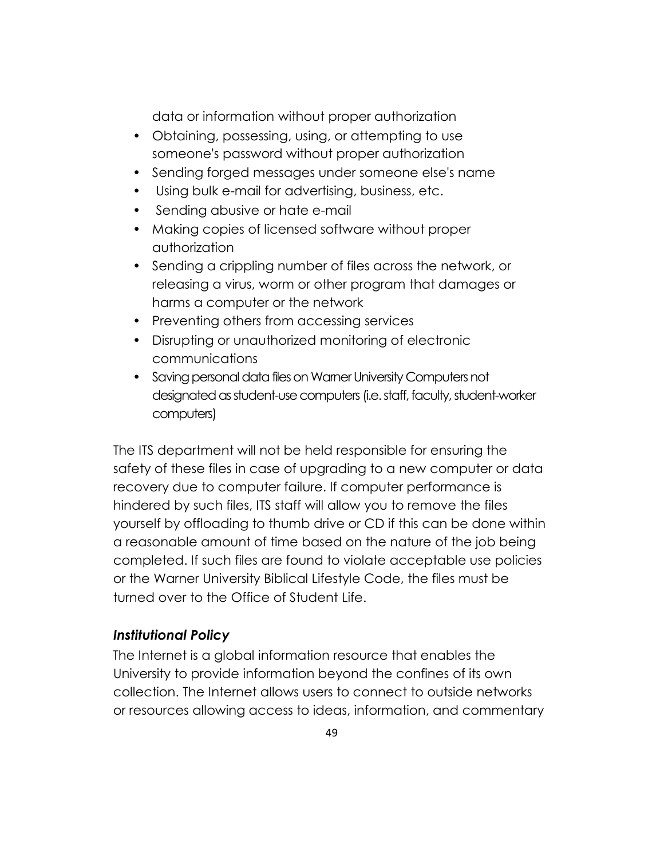data or information without proper authorization

- Obtaining, possessing, using, or attempting to use someone's password without proper authorization
- Sending forged messages under someone else's name
- Using bulk e-mail for advertising, business, etc.
- Sending abusive or hate e-mail
- Making copies of licensed software without proper authorization
- Sending a crippling number of files across the network, or releasing a virus, worm or other program that damages or harms a computer or the network
- Preventing others from accessing services
- Disrupting or unauthorized monitoring of electronic communications
- Saving personal data files on Warner University Computers not designated as student-use computers (i.e. staff, faculty, student-worker computers)

The ITS department will not be held responsible for ensuring the safety of these files in case of upgrading to a new computer or data recovery due to computer failure. If computer performance is hindered by such files, ITS staff will allow you to remove the files yourself by offloading to thumb drive or CD if this can be done within a reasonable amount of time based on the nature of the job being completed. If such files are found to violate acceptable use policies or the Warner University Biblical Lifestyle Code, the files must be turned over to the Office of Student Life.

#### *Institutional Policy*

The Internet is a global information resource that enables the University to provide information beyond the confines of its own collection. The Internet allows users to connect to outside networks or resources allowing access to ideas, information, and commentary